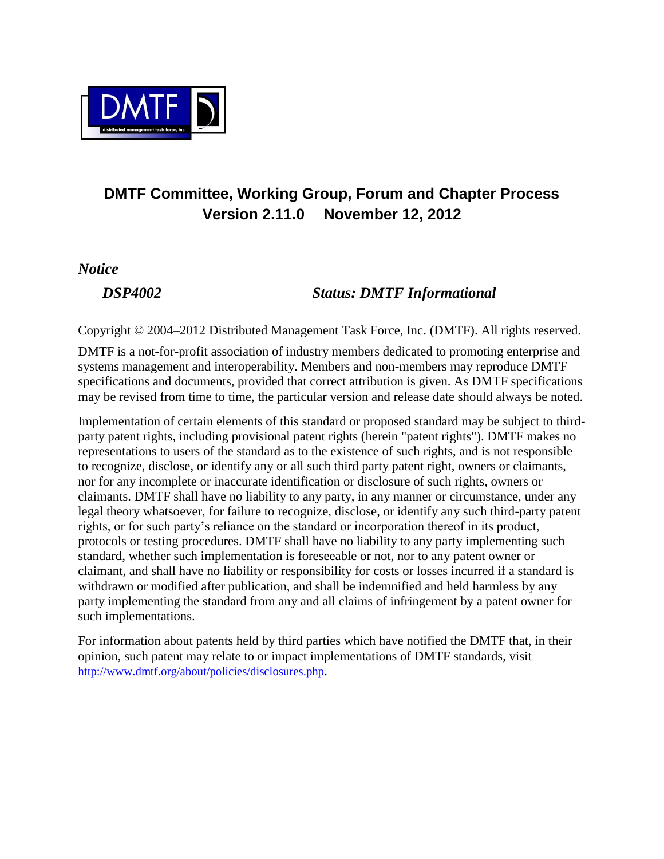

### **DMTF Committee, Working Group, Forum and Chapter Process Version 2.11.0 November 12, 2012**

*Notice*

#### *DSP4002 Status: DMTF Informational*

Copyright © 2004–2012 Distributed Management Task Force, Inc. (DMTF). All rights reserved.

DMTF is a not-for-profit association of industry members dedicated to promoting enterprise and systems management and interoperability. Members and non-members may reproduce DMTF specifications and documents, provided that correct attribution is given. As DMTF specifications may be revised from time to time, the particular version and release date should always be noted.

Implementation of certain elements of this standard or proposed standard may be subject to thirdparty patent rights, including provisional patent rights (herein "patent rights"). DMTF makes no representations to users of the standard as to the existence of such rights, and is not responsible to recognize, disclose, or identify any or all such third party patent right, owners or claimants, nor for any incomplete or inaccurate identification or disclosure of such rights, owners or claimants. DMTF shall have no liability to any party, in any manner or circumstance, under any legal theory whatsoever, for failure to recognize, disclose, or identify any such third-party patent rights, or for such party's reliance on the standard or incorporation thereof in its product, protocols or testing procedures. DMTF shall have no liability to any party implementing such standard, whether such implementation is foreseeable or not, nor to any patent owner or claimant, and shall have no liability or responsibility for costs or losses incurred if a standard is withdrawn or modified after publication, and shall be indemnified and held harmless by any party implementing the standard from any and all claims of infringement by a patent owner for such implementations.

For information about patents held by third parties which have notified the DMTF that, in their opinion, such patent may relate to or impact implementations of DMTF standards, visit <http://www.dmtf.org/about/policies/disclosures.php>.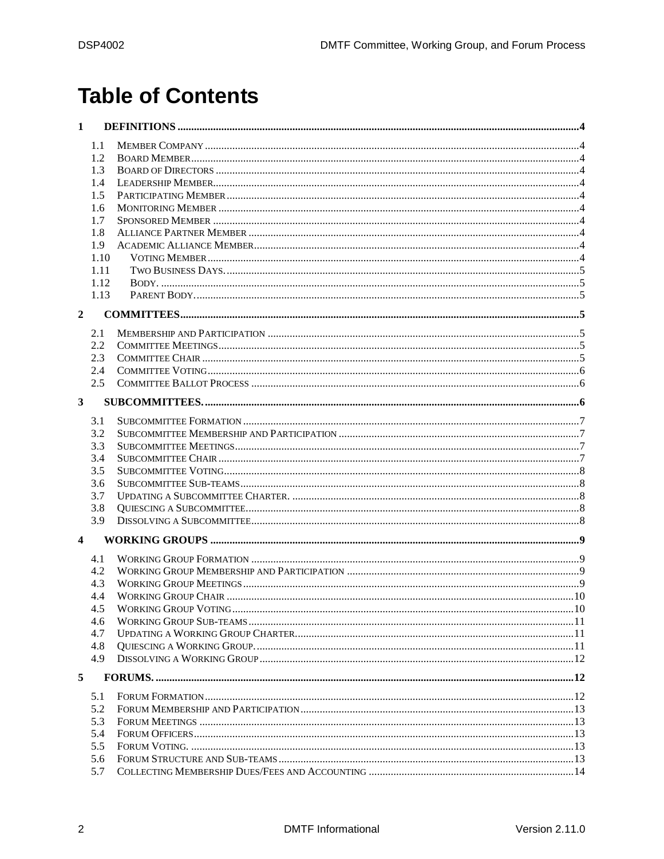# **Table of Contents**

| 1                       |      |  |
|-------------------------|------|--|
|                         | 1.1  |  |
|                         | 1.2  |  |
|                         | 1.3  |  |
|                         | 1.4  |  |
|                         | 1.5  |  |
|                         | 1.6  |  |
|                         | 1.7  |  |
|                         | 1.8  |  |
|                         | 1.9  |  |
|                         | 1.10 |  |
|                         | 1.11 |  |
|                         | 1.12 |  |
|                         | 1.13 |  |
|                         |      |  |
| $\overline{2}$          |      |  |
|                         | 2.1  |  |
|                         | 2.2  |  |
|                         | 2.3  |  |
|                         | 2.4  |  |
|                         | 2.5  |  |
|                         |      |  |
| 3                       |      |  |
|                         | 3.1  |  |
|                         | 3.2  |  |
|                         | 3.3  |  |
|                         | 3.4  |  |
|                         | 3.5  |  |
|                         | 3.6  |  |
|                         | 3.7  |  |
|                         | 3.8  |  |
|                         | 3.9  |  |
|                         |      |  |
| $\overline{\mathbf{4}}$ |      |  |
|                         | 4.1  |  |
|                         | 4.2  |  |
|                         | 4.3  |  |
|                         | 4.4  |  |
|                         | 4.5  |  |
|                         | 4.6  |  |
|                         | 4.7  |  |
|                         | 4.8  |  |
|                         | 4.9  |  |
| 5                       |      |  |
|                         |      |  |
|                         | 5.1  |  |
|                         | 5.2  |  |
|                         | 5.3  |  |
|                         | 5.4  |  |
|                         | 5.5  |  |
|                         | 5.6  |  |
|                         | 5.7  |  |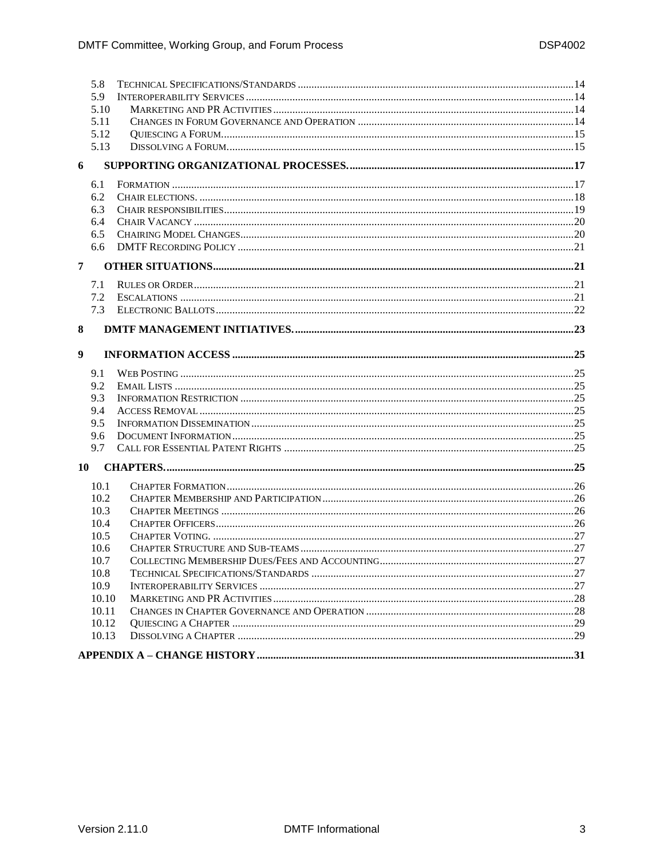| 5.8        |  |  |  |  |  |
|------------|--|--|--|--|--|
| 5.9        |  |  |  |  |  |
| 5.10       |  |  |  |  |  |
| 5.11       |  |  |  |  |  |
| 5.12       |  |  |  |  |  |
| 5.13       |  |  |  |  |  |
| 6          |  |  |  |  |  |
|            |  |  |  |  |  |
| 6.1<br>6.2 |  |  |  |  |  |
| 6.3        |  |  |  |  |  |
| 6.4        |  |  |  |  |  |
| 6.5        |  |  |  |  |  |
| 6.6        |  |  |  |  |  |
|            |  |  |  |  |  |
| 7          |  |  |  |  |  |
| 7.1        |  |  |  |  |  |
| 7.2        |  |  |  |  |  |
| 7.3        |  |  |  |  |  |
| 8          |  |  |  |  |  |
|            |  |  |  |  |  |
| 9          |  |  |  |  |  |
|            |  |  |  |  |  |
| 9.1        |  |  |  |  |  |
| 9.2        |  |  |  |  |  |
| 9.3        |  |  |  |  |  |
| 9.4        |  |  |  |  |  |
| 9.5        |  |  |  |  |  |
| 9.6        |  |  |  |  |  |
| 9.7        |  |  |  |  |  |
| 10         |  |  |  |  |  |
| 10.1       |  |  |  |  |  |
| 10.2       |  |  |  |  |  |
| 10.3       |  |  |  |  |  |
| 10.4       |  |  |  |  |  |
| 10.5       |  |  |  |  |  |
| 10.6       |  |  |  |  |  |
| 10.7       |  |  |  |  |  |
| 10.8       |  |  |  |  |  |
| 10.9       |  |  |  |  |  |
| 10.10      |  |  |  |  |  |
| 10.11      |  |  |  |  |  |
| 10.12      |  |  |  |  |  |
| 10.13      |  |  |  |  |  |
|            |  |  |  |  |  |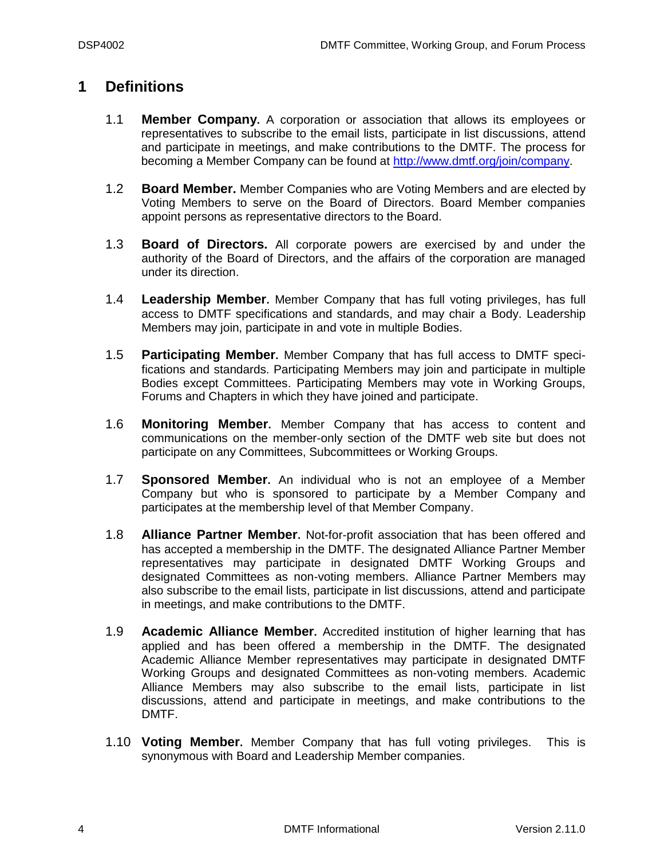#### <span id="page-3-1"></span><span id="page-3-0"></span>**1 Definitions**

- 1.1 **Member Company.** A corporation or association that allows its employees or representatives to subscribe to the email lists, participate in list discussions, attend and participate in meetings, and make contributions to the DMTF. The process for becoming a Member Company can be found at [http://www.dmtf.org/join/company.](http://www.dmtf.org/join/company)
- <span id="page-3-2"></span>1.2 **Board Member.** Member Companies who are Voting Members and are elected by Voting Members to serve on the Board of Directors. Board Member companies appoint persons as representative directors to the Board.
- <span id="page-3-3"></span>1.3 **Board of Directors.** All corporate powers are exercised by and under the authority of the Board of Directors, and the affairs of the corporation are managed under its direction.
- <span id="page-3-4"></span>1.4 **Leadership Member.** Member Company that has full voting privileges, has full access to DMTF specifications and standards, and may chair a Body. Leadership Members may join, participate in and vote in multiple Bodies.
- <span id="page-3-5"></span>1.5 **Participating Member.** Member Company that has full access to DMTF specifications and standards. Participating Members may join and participate in multiple Bodies except Committees. Participating Members may vote in Working Groups, Forums and Chapters in which they have joined and participate.
- <span id="page-3-6"></span>1.6 **Monitoring Member.** Member Company that has access to content and communications on the member-only section of the DMTF web site but does not participate on any Committees, Subcommittees or Working Groups.
- <span id="page-3-7"></span>1.7 **Sponsored Member.** An individual who is not an employee of a Member Company but who is sponsored to participate by a Member Company and participates at the membership level of that Member Company.
- <span id="page-3-8"></span>1.8 **Alliance Partner Member.** Not-for-profit association that has been offered and has accepted a membership in the DMTF. The designated Alliance Partner Member representatives may participate in designated DMTF Working Groups and designated Committees as non-voting members. Alliance Partner Members may also subscribe to the email lists, participate in list discussions, attend and participate in meetings, and make contributions to the DMTF.
- <span id="page-3-9"></span>1.9 **Academic Alliance Member.** Accredited institution of higher learning that has applied and has been offered a membership in the DMTF. The designated Academic Alliance Member representatives may participate in designated DMTF Working Groups and designated Committees as non-voting members. Academic Alliance Members may also subscribe to the email lists, participate in list discussions, attend and participate in meetings, and make contributions to the DMTF.
- <span id="page-3-10"></span>1.10 **Voting Member.** Member Company that has full voting privileges. This is synonymous with Board and Leadership Member companies.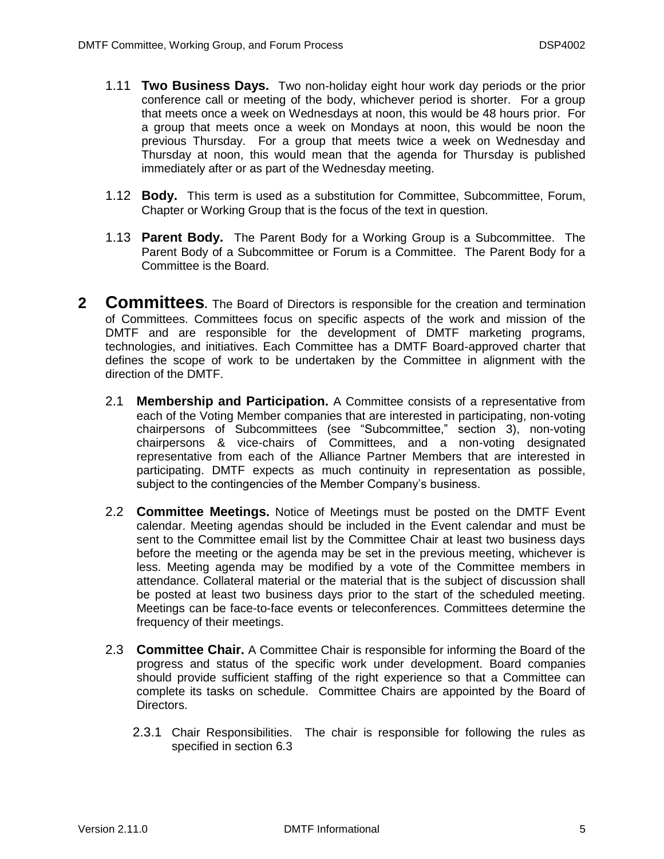- <span id="page-4-0"></span>1.11 **Two Business Days.** Two non-holiday eight hour work day periods or the prior conference call or meeting of the body, whichever period is shorter. For a group that meets once a week on Wednesdays at noon, this would be 48 hours prior. For a group that meets once a week on Mondays at noon, this would be noon the previous Thursday. For a group that meets twice a week on Wednesday and Thursday at noon, this would mean that the agenda for Thursday is published immediately after or as part of the Wednesday meeting.
- <span id="page-4-1"></span>1.12 **Body.** This term is used as a substitution for Committee, Subcommittee, Forum, Chapter or Working Group that is the focus of the text in question.
- <span id="page-4-2"></span>1.13 **Parent Body.** The Parent Body for a Working Group is a Subcommittee. The Parent Body of a Subcommittee or Forum is a Committee. The Parent Body for a Committee is the Board.
- <span id="page-4-6"></span><span id="page-4-5"></span><span id="page-4-4"></span><span id="page-4-3"></span>**2 Committees.** The Board of Directors is responsible for the creation and termination of Committees. Committees focus on specific aspects of the work and mission of the DMTF and are responsible for the development of DMTF marketing programs, technologies, and initiatives. Each Committee has a DMTF Board-approved charter that defines the scope of work to be undertaken by the Committee in alignment with the direction of the DMTF.
	- 2.1 **Membership and Participation.** A Committee consists of a representative from each of the Voting Member companies that are interested in participating, non-voting chairpersons of Subcommittees (see "Subcommittee," section [3\)](#page-5-2), non-voting chairpersons & vice-chairs of Committees, and a non-voting designated representative from each of the Alliance Partner Members that are interested in participating. DMTF expects as much continuity in representation as possible, subject to the contingencies of the Member Company's business.
	- 2.2 **Committee Meetings.** Notice of Meetings must be posted on the DMTF Event calendar. Meeting agendas should be included in the Event calendar and must be sent to the Committee email list by the Committee Chair at least two business days before the meeting or the agenda may be set in the previous meeting, whichever is less. Meeting agenda may be modified by a vote of the Committee members in attendance. Collateral material or the material that is the subject of discussion shall be posted at least two business days prior to the start of the scheduled meeting. Meetings can be face-to-face events or teleconferences. Committees determine the frequency of their meetings.
	- 2.3 **Committee Chair.** A Committee Chair is responsible for informing the Board of the progress and status of the specific work under development. Board companies should provide sufficient staffing of the right experience so that a Committee can complete its tasks on schedule. Committee Chairs are appointed by the Board of Directors.
		- 2.3.1 Chair Responsibilities. The chair is responsible for following the rules as specified in section 6.3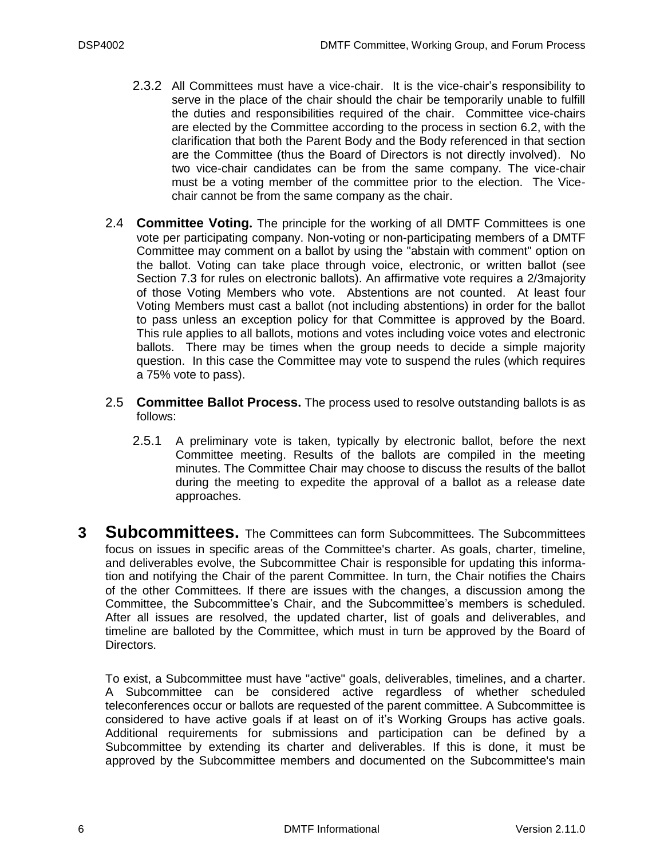- 2.3.2 All Committees must have a vice-chair. It is the vice-chair's responsibility to serve in the place of the chair should the chair be temporarily unable to fulfill the duties and responsibilities required of the chair. Committee vice-chairs are elected by the Committee according to the process in section [6.2,](#page-17-0) with the clarification that both the Parent Body and the Body referenced in that section are the Committee (thus the Board of Directors is not directly involved). No two vice-chair candidates can be from the same company. The vice-chair must be a voting member of the committee prior to the election. The Vicechair cannot be from the same company as the chair.
- <span id="page-5-0"></span>2.4 **Committee Voting.** The principle for the working of all DMTF Committees is one vote per participating company. Non-voting or non-participating members of a DMTF Committee may comment on a ballot by using the "abstain with comment" option on the ballot. Voting can take place through voice, electronic, or written ballot (see Section [7.3](#page-21-0) for rules on electronic ballots). An affirmative vote requires a 2/3majority of those Voting Members who vote. Abstentions are not counted. At least four Voting Members must cast a ballot (not including abstentions) in order for the ballot to pass unless an exception policy for that Committee is approved by the Board. This rule applies to all ballots, motions and votes including voice votes and electronic ballots. There may be times when the group needs to decide a simple majority question. In this case the Committee may vote to suspend the rules (which requires a 75% vote to pass).
- <span id="page-5-1"></span>2.5 **Committee Ballot Process.** The process used to resolve outstanding ballots is as follows:
	- 2.5.1 A preliminary vote is taken, typically by electronic ballot, before the next Committee meeting. Results of the ballots are compiled in the meeting minutes. The Committee Chair may choose to discuss the results of the ballot during the meeting to expedite the approval of a ballot as a release date approaches.
- <span id="page-5-2"></span>**3 Subcommittees.** The Committees can form Subcommittees. The Subcommittees focus on issues in specific areas of the Committee's charter. As goals, charter, timeline, and deliverables evolve, the Subcommittee Chair is responsible for updating this information and notifying the Chair of the parent Committee. In turn, the Chair notifies the Chairs of the other Committees. If there are issues with the changes, a discussion among the Committee, the Subcommittee's Chair, and the Subcommittee's members is scheduled. After all issues are resolved, the updated charter, list of goals and deliverables, and timeline are balloted by the Committee, which must in turn be approved by the Board of Directors.

To exist, a Subcommittee must have "active" goals, deliverables, timelines, and a charter. A Subcommittee can be considered active regardless of whether scheduled teleconferences occur or ballots are requested of the parent committee. A Subcommittee is considered to have active goals if at least on of it's Working Groups has active goals. Additional requirements for submissions and participation can be defined by a Subcommittee by extending its charter and deliverables. If this is done, it must be approved by the Subcommittee members and documented on the Subcommittee's main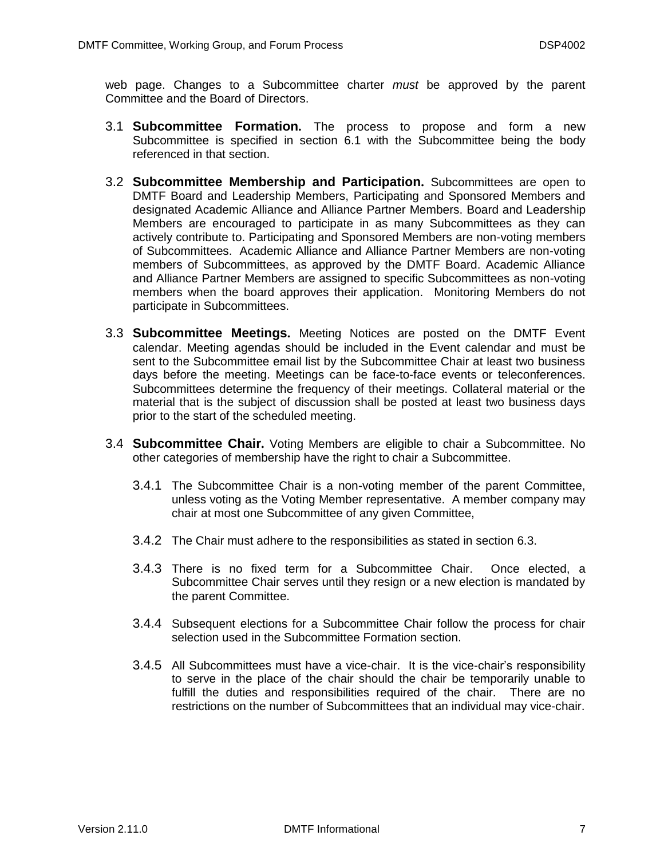web page. Changes to a Subcommittee charter *must* be approved by the parent Committee and the Board of Directors.

- <span id="page-6-0"></span>3.1 **Subcommittee Formation.** The process to propose and form a new Subcommittee is specified in section [6.1](#page-16-1) with the Subcommittee being the body referenced in that section.
- <span id="page-6-1"></span>3.2 **Subcommittee Membership and Participation.** Subcommittees are open to DMTF Board and Leadership Members, Participating and Sponsored Members and designated Academic Alliance and Alliance Partner Members. Board and Leadership Members are encouraged to participate in as many Subcommittees as they can actively contribute to. Participating and Sponsored Members are non-voting members of Subcommittees. Academic Alliance and Alliance Partner Members are non-voting members of Subcommittees, as approved by the DMTF Board. Academic Alliance and Alliance Partner Members are assigned to specific Subcommittees as non-voting members when the board approves their application. Monitoring Members do not participate in Subcommittees.
- <span id="page-6-2"></span>3.3 **Subcommittee Meetings.** Meeting Notices are posted on the DMTF Event calendar. Meeting agendas should be included in the Event calendar and must be sent to the Subcommittee email list by the Subcommittee Chair at least two business days before the meeting. Meetings can be face-to-face events or teleconferences. Subcommittees determine the frequency of their meetings. Collateral material or the material that is the subject of discussion shall be posted at least two business days prior to the start of the scheduled meeting.
- <span id="page-6-3"></span>3.4 **Subcommittee Chair.** Voting Members are eligible to chair a Subcommittee. No other categories of membership have the right to chair a Subcommittee.
	- 3.4.1 The Subcommittee Chair is a non-voting member of the parent Committee, unless voting as the Voting Member representative. A member company may chair at most one Subcommittee of any given Committee,
	- 3.4.2 The Chair must adhere to the responsibilities as stated in section [6.3.](#page-18-0)
	- 3.4.3 There is no fixed term for a Subcommittee Chair. Once elected, a Subcommittee Chair serves until they resign or a new election is mandated by the parent Committee.
	- 3.4.4 Subsequent elections for a Subcommittee Chair follow the process for chair selection used in the Subcommittee Formation section.
	- 3.4.5 All Subcommittees must have a vice-chair. It is the vice-chair's responsibility to serve in the place of the chair should the chair be temporarily unable to fulfill the duties and responsibilities required of the chair. There are no restrictions on the number of Subcommittees that an individual may vice-chair.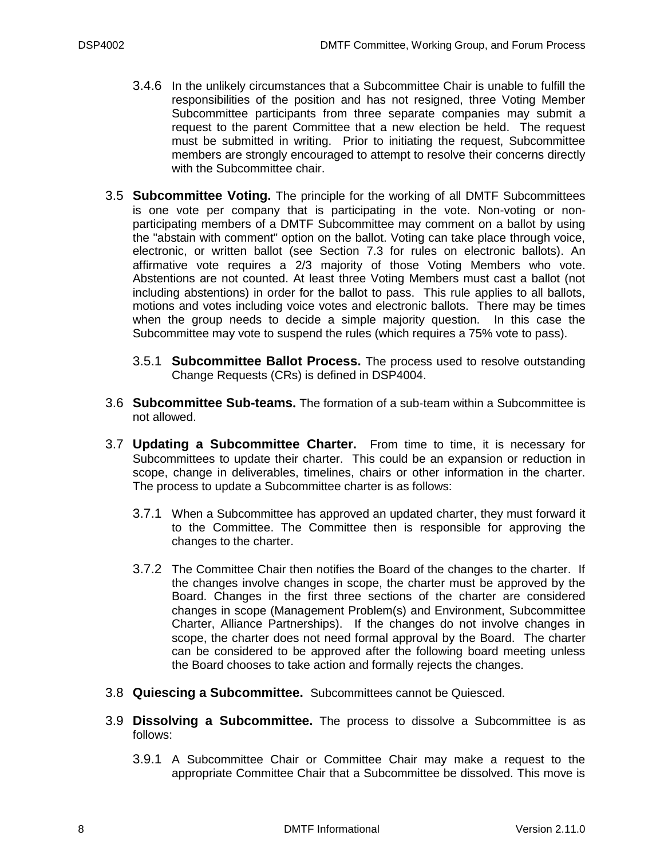- 3.4.6 In the unlikely circumstances that a Subcommittee Chair is unable to fulfill the responsibilities of the position and has not resigned, three Voting Member Subcommittee participants from three separate companies may submit a request to the parent Committee that a new election be held. The request must be submitted in writing. Prior to initiating the request, Subcommittee members are strongly encouraged to attempt to resolve their concerns directly with the Subcommittee chair.
- <span id="page-7-0"></span>3.5 **Subcommittee Voting.** The principle for the working of all DMTF Subcommittees is one vote per company that is participating in the vote. Non-voting or nonparticipating members of a DMTF Subcommittee may comment on a ballot by using the "abstain with comment" option on the ballot. Voting can take place through voice, electronic, or written ballot (see Section [7.3](#page-21-0) for rules on electronic ballots). An affirmative vote requires a 2/3 majority of those Voting Members who vote. Abstentions are not counted. At least three Voting Members must cast a ballot (not including abstentions) in order for the ballot to pass. This rule applies to all ballots, motions and votes including voice votes and electronic ballots. There may be times when the group needs to decide a simple majority question. In this case the Subcommittee may vote to suspend the rules (which requires a 75% vote to pass).
	- 3.5.1 **Subcommittee Ballot Process.** The process used to resolve outstanding Change Requests (CRs) is defined in DSP4004.
- <span id="page-7-1"></span>3.6 **Subcommittee Sub-teams.** The formation of a sub-team within a Subcommittee is not allowed.
- <span id="page-7-2"></span>3.7 **Updating a Subcommittee Charter.** From time to time, it is necessary for Subcommittees to update their charter. This could be an expansion or reduction in scope, change in deliverables, timelines, chairs or other information in the charter. The process to update a Subcommittee charter is as follows:
	- 3.7.1 When a Subcommittee has approved an updated charter, they must forward it to the Committee. The Committee then is responsible for approving the changes to the charter.
	- 3.7.2 The Committee Chair then notifies the Board of the changes to the charter. If the changes involve changes in scope, the charter must be approved by the Board. Changes in the first three sections of the charter are considered changes in scope (Management Problem(s) and Environment, Subcommittee Charter, Alliance Partnerships). If the changes do not involve changes in scope, the charter does not need formal approval by the Board. The charter can be considered to be approved after the following board meeting unless the Board chooses to take action and formally rejects the changes.
- <span id="page-7-4"></span><span id="page-7-3"></span>3.8 **Quiescing a Subcommittee.** Subcommittees cannot be Quiesced.
- 3.9 **Dissolving a Subcommittee.** The process to dissolve a Subcommittee is as follows:
	- 3.9.1 A Subcommittee Chair or Committee Chair may make a request to the appropriate Committee Chair that a Subcommittee be dissolved. This move is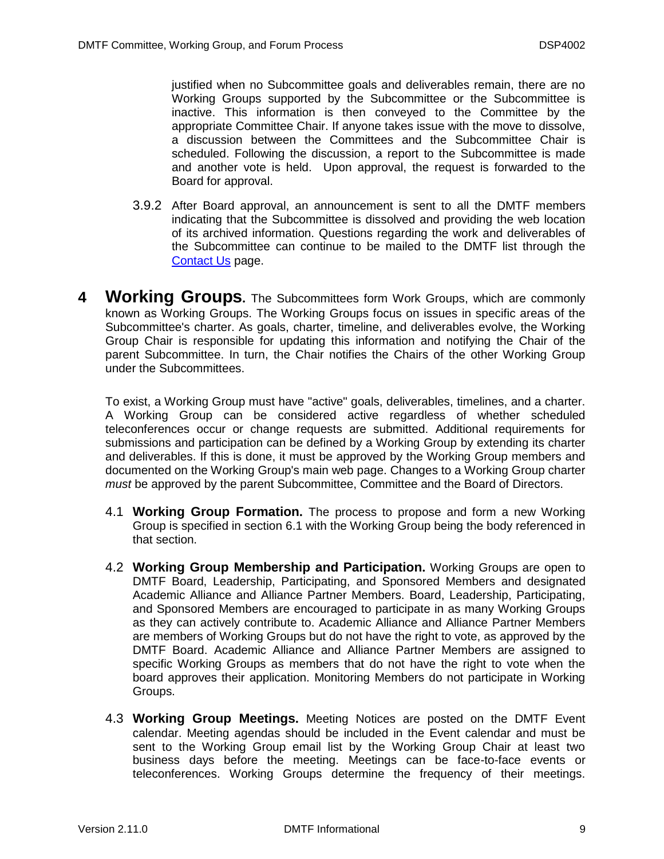justified when no Subcommittee goals and deliverables remain, there are no Working Groups supported by the Subcommittee or the Subcommittee is inactive. This information is then conveyed to the Committee by the appropriate Committee Chair. If anyone takes issue with the move to dissolve, a discussion between the Committees and the Subcommittee Chair is scheduled. Following the discussion, a report to the Subcommittee is made and another vote is held. Upon approval, the request is forwarded to the Board for approval.

- 3.9.2 After Board approval, an announcement is sent to all the DMTF members indicating that the Subcommittee is dissolved and providing the web location of its archived information. Questions regarding the work and deliverables of the Subcommittee can continue to be mailed to the DMTF list through the [Contact Us](http://www.dmtf.org/about/contact/) page.
- <span id="page-8-0"></span>**4 Working Groups.** The Subcommittees form Work Groups, which are commonly known as Working Groups. The Working Groups focus on issues in specific areas of the Subcommittee's charter. As goals, charter, timeline, and deliverables evolve, the Working Group Chair is responsible for updating this information and notifying the Chair of the parent Subcommittee. In turn, the Chair notifies the Chairs of the other Working Group under the Subcommittees.

To exist, a Working Group must have "active" goals, deliverables, timelines, and a charter. A Working Group can be considered active regardless of whether scheduled teleconferences occur or change requests are submitted. Additional requirements for submissions and participation can be defined by a Working Group by extending its charter and deliverables. If this is done, it must be approved by the Working Group members and documented on the Working Group's main web page. Changes to a Working Group charter *must* be approved by the parent Subcommittee, Committee and the Board of Directors.

- <span id="page-8-1"></span>4.1 **Working Group Formation.** The process to propose and form a new Working Group is specified in section [6.1](#page-16-1) with the Working Group being the body referenced in that section.
- <span id="page-8-2"></span>4.2 **Working Group Membership and Participation.** Working Groups are open to DMTF Board, Leadership, Participating, and Sponsored Members and designated Academic Alliance and Alliance Partner Members. Board, Leadership, Participating, and Sponsored Members are encouraged to participate in as many Working Groups as they can actively contribute to. Academic Alliance and Alliance Partner Members are members of Working Groups but do not have the right to vote, as approved by the DMTF Board. Academic Alliance and Alliance Partner Members are assigned to specific Working Groups as members that do not have the right to vote when the board approves their application. Monitoring Members do not participate in Working Groups.
- <span id="page-8-3"></span>4.3 **Working Group Meetings.** Meeting Notices are posted on the DMTF Event calendar. Meeting agendas should be included in the Event calendar and must be sent to the Working Group email list by the Working Group Chair at least two business days before the meeting. Meetings can be face-to-face events or teleconferences. Working Groups determine the frequency of their meetings.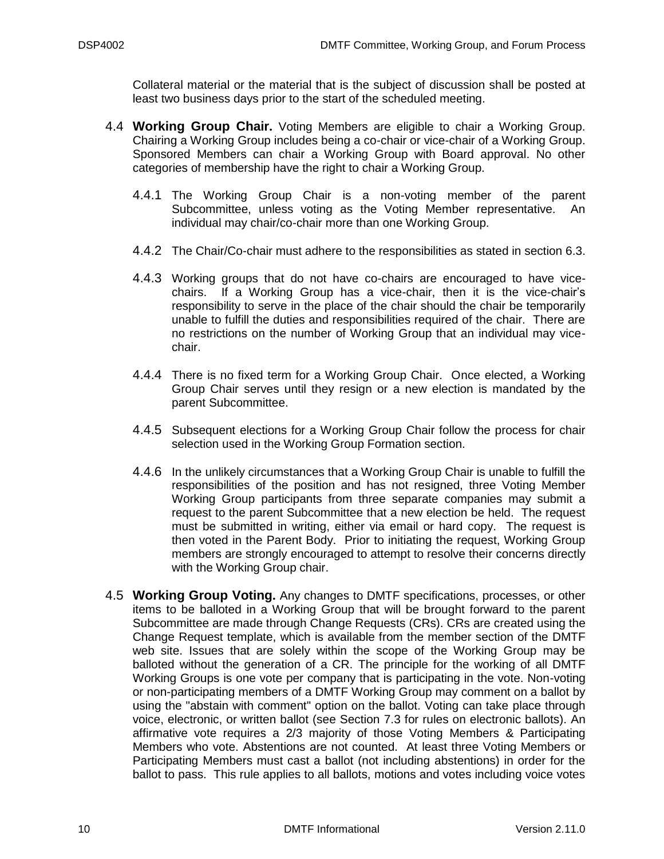Collateral material or the material that is the subject of discussion shall be posted at least two business days prior to the start of the scheduled meeting.

- <span id="page-9-0"></span>4.4 **Working Group Chair.** Voting Members are eligible to chair a Working Group. Chairing a Working Group includes being a co-chair or vice-chair of a Working Group. Sponsored Members can chair a Working Group with Board approval. No other categories of membership have the right to chair a Working Group.
	- 4.4.1 The Working Group Chair is a non-voting member of the parent Subcommittee, unless voting as the Voting Member representative. An individual may chair/co-chair more than one Working Group.
	- 4.4.2 The Chair/Co-chair must adhere to the responsibilities as stated in section [6.3.](#page-18-0)
	- 4.4.3 Working groups that do not have co-chairs are encouraged to have vicechairs. If a Working Group has a vice-chair, then it is the vice-chair's responsibility to serve in the place of the chair should the chair be temporarily unable to fulfill the duties and responsibilities required of the chair. There are no restrictions on the number of Working Group that an individual may vicechair.
	- 4.4.4 There is no fixed term for a Working Group Chair. Once elected, a Working Group Chair serves until they resign or a new election is mandated by the parent Subcommittee.
	- 4.4.5 Subsequent elections for a Working Group Chair follow the process for chair selection used in the Working Group Formation section.
	- 4.4.6 In the unlikely circumstances that a Working Group Chair is unable to fulfill the responsibilities of the position and has not resigned, three Voting Member Working Group participants from three separate companies may submit a request to the parent Subcommittee that a new election be held. The request must be submitted in writing, either via email or hard copy. The request is then voted in the Parent Body. Prior to initiating the request, Working Group members are strongly encouraged to attempt to resolve their concerns directly with the Working Group chair.
- <span id="page-9-1"></span>4.5 **Working Group Voting.** Any changes to DMTF specifications, processes, or other items to be balloted in a Working Group that will be brought forward to the parent Subcommittee are made through Change Requests (CRs). CRs are created using the Change Request template, which is available from the member section of the DMTF web site. Issues that are solely within the scope of the Working Group may be balloted without the generation of a CR. The principle for the working of all DMTF Working Groups is one vote per company that is participating in the vote. Non-voting or non-participating members of a DMTF Working Group may comment on a ballot by using the "abstain with comment" option on the ballot. Voting can take place through voice, electronic, or written ballot (see Section [7.3](#page-21-0) for rules on electronic ballots). An affirmative vote requires a 2/3 majority of those Voting Members & Participating Members who vote. Abstentions are not counted. At least three Voting Members or Participating Members must cast a ballot (not including abstentions) in order for the ballot to pass. This rule applies to all ballots, motions and votes including voice votes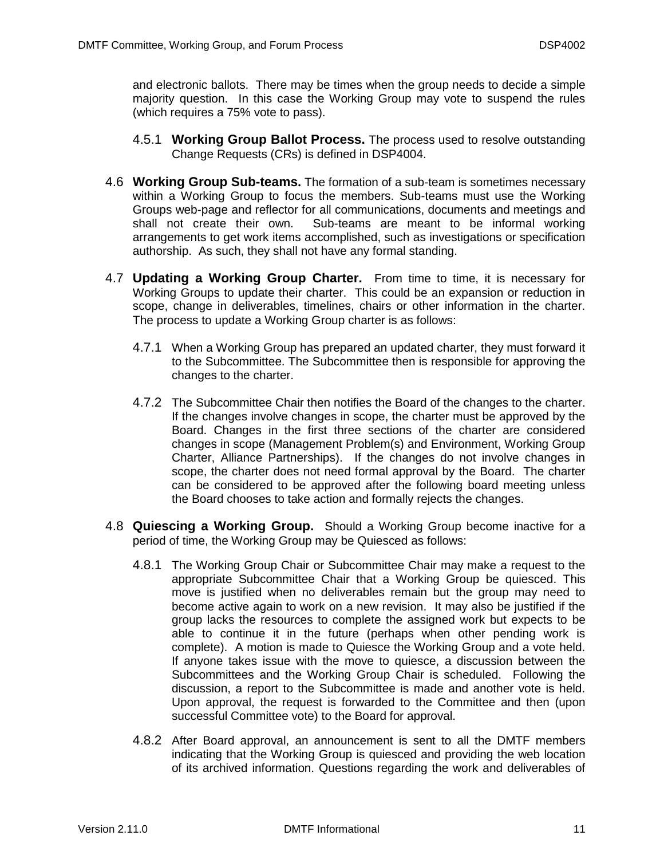and electronic ballots. There may be times when the group needs to decide a simple majority question. In this case the Working Group may vote to suspend the rules (which requires a 75% vote to pass).

- 4.5.1 **Working Group Ballot Process.** The process used to resolve outstanding Change Requests (CRs) is defined in DSP4004.
- <span id="page-10-0"></span>4.6 **Working Group Sub-teams.** The formation of a sub-team is sometimes necessary within a Working Group to focus the members. Sub-teams must use the Working Groups web-page and reflector for all communications, documents and meetings and shall not create their own. Sub-teams are meant to be informal working arrangements to get work items accomplished, such as investigations or specification authorship. As such, they shall not have any formal standing.
- <span id="page-10-1"></span>4.7 **Updating a Working Group Charter.** From time to time, it is necessary for Working Groups to update their charter. This could be an expansion or reduction in scope, change in deliverables, timelines, chairs or other information in the charter. The process to update a Working Group charter is as follows:
	- 4.7.1 When a Working Group has prepared an updated charter, they must forward it to the Subcommittee. The Subcommittee then is responsible for approving the changes to the charter.
	- 4.7.2 The Subcommittee Chair then notifies the Board of the changes to the charter. If the changes involve changes in scope, the charter must be approved by the Board. Changes in the first three sections of the charter are considered changes in scope (Management Problem(s) and Environment, Working Group Charter, Alliance Partnerships). If the changes do not involve changes in scope, the charter does not need formal approval by the Board. The charter can be considered to be approved after the following board meeting unless the Board chooses to take action and formally rejects the changes.
- <span id="page-10-2"></span>4.8 **Quiescing a Working Group.** Should a Working Group become inactive for a period of time, the Working Group may be Quiesced as follows:
	- 4.8.1 The Working Group Chair or Subcommittee Chair may make a request to the appropriate Subcommittee Chair that a Working Group be quiesced. This move is justified when no deliverables remain but the group may need to become active again to work on a new revision. It may also be justified if the group lacks the resources to complete the assigned work but expects to be able to continue it in the future (perhaps when other pending work is complete). A motion is made to Quiesce the Working Group and a vote held. If anyone takes issue with the move to quiesce, a discussion between the Subcommittees and the Working Group Chair is scheduled. Following the discussion, a report to the Subcommittee is made and another vote is held. Upon approval, the request is forwarded to the Committee and then (upon successful Committee vote) to the Board for approval.
	- 4.8.2 After Board approval, an announcement is sent to all the DMTF members indicating that the Working Group is quiesced and providing the web location of its archived information. Questions regarding the work and deliverables of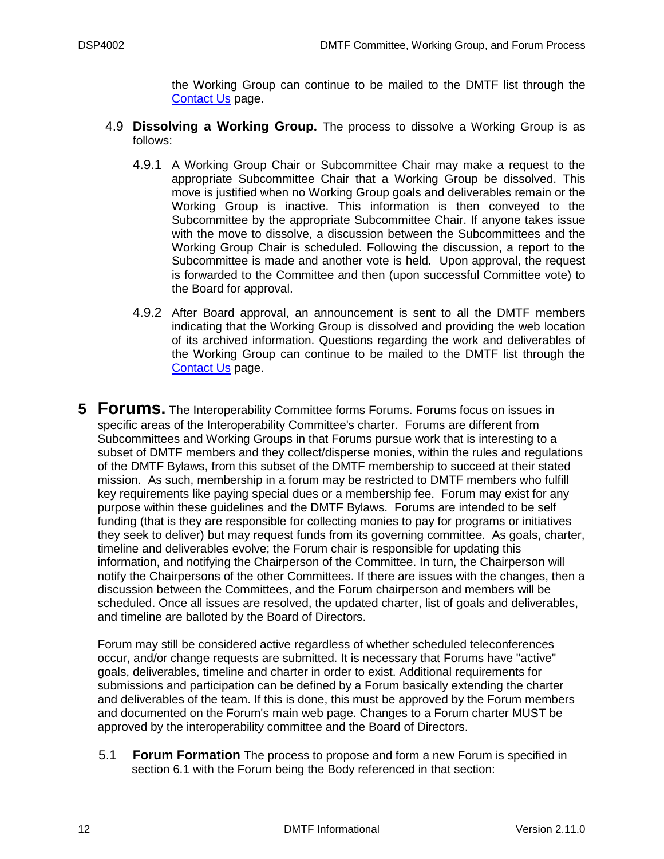the Working Group can continue to be mailed to the DMTF list through the [Contact Us](http://www.dmtf.org/about/contact/) page.

- <span id="page-11-0"></span>4.9 **Dissolving a Working Group.** The process to dissolve a Working Group is as follows:
	- 4.9.1 A Working Group Chair or Subcommittee Chair may make a request to the appropriate Subcommittee Chair that a Working Group be dissolved. This move is justified when no Working Group goals and deliverables remain or the Working Group is inactive. This information is then conveyed to the Subcommittee by the appropriate Subcommittee Chair. If anyone takes issue with the move to dissolve, a discussion between the Subcommittees and the Working Group Chair is scheduled. Following the discussion, a report to the Subcommittee is made and another vote is held. Upon approval, the request is forwarded to the Committee and then (upon successful Committee vote) to the Board for approval.
	- 4.9.2 After Board approval, an announcement is sent to all the DMTF members indicating that the Working Group is dissolved and providing the web location of its archived information. Questions regarding the work and deliverables of the Working Group can continue to be mailed to the DMTF list through the [Contact Us](http://www.dmtf.org/about/contact/) page.
- <span id="page-11-1"></span>**5 Forums.** The Interoperability Committee forms Forums. Forums focus on issues in specific areas of the Interoperability Committee's charter. Forums are different from Subcommittees and Working Groups in that Forums pursue work that is interesting to a subset of DMTF members and they collect/disperse monies, within the rules and regulations of the DMTF Bylaws, from this subset of the DMTF membership to succeed at their stated mission. As such, membership in a forum may be restricted to DMTF members who fulfill key requirements like paying special dues or a membership fee. Forum may exist for any purpose within these guidelines and the DMTF Bylaws. Forums are intended to be self funding (that is they are responsible for collecting monies to pay for programs or initiatives they seek to deliver) but may request funds from its governing committee. As goals, charter, timeline and deliverables evolve; the Forum chair is responsible for updating this information, and notifying the Chairperson of the Committee. In turn, the Chairperson will notify the Chairpersons of the other Committees. If there are issues with the changes, then a discussion between the Committees, and the Forum chairperson and members will be scheduled. Once all issues are resolved, the updated charter, list of goals and deliverables, and timeline are balloted by the Board of Directors.

Forum may still be considered active regardless of whether scheduled teleconferences occur, and/or change requests are submitted. It is necessary that Forums have "active" goals, deliverables, timeline and charter in order to exist. Additional requirements for submissions and participation can be defined by a Forum basically extending the charter and deliverables of the team. If this is done, this must be approved by the Forum members and documented on the Forum's main web page. Changes to a Forum charter MUST be approved by the interoperability committee and the Board of Directors.

<span id="page-11-2"></span>5.1 **Forum Formation** The process to propose and form a new Forum is specified in section [6.1](#page-16-1) with the Forum being the Body referenced in that section: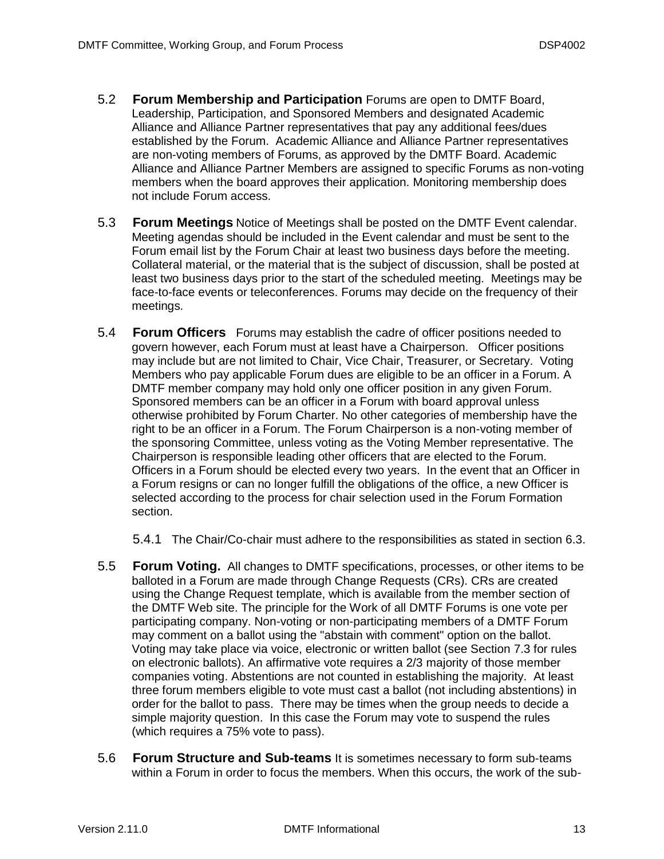- <span id="page-12-0"></span>5.2 **Forum Membership and Participation** Forums are open to DMTF Board, Leadership, Participation, and Sponsored Members and designated Academic Alliance and Alliance Partner representatives that pay any additional fees/dues established by the Forum. Academic Alliance and Alliance Partner representatives are non-voting members of Forums, as approved by the DMTF Board. Academic Alliance and Alliance Partner Members are assigned to specific Forums as non-voting members when the board approves their application. Monitoring membership does not include Forum access.
- <span id="page-12-1"></span>5.3 **Forum Meetings** Notice of Meetings shall be posted on the DMTF Event calendar. Meeting agendas should be included in the Event calendar and must be sent to the Forum email list by the Forum Chair at least two business days before the meeting. Collateral material, or the material that is the subject of discussion, shall be posted at least two business days prior to the start of the scheduled meeting. Meetings may be face-to-face events or teleconferences. Forums may decide on the frequency of their meetings.
- <span id="page-12-2"></span>5.4 **Forum Officers** Forums may establish the cadre of officer positions needed to govern however, each Forum must at least have a Chairperson. Officer positions may include but are not limited to Chair, Vice Chair, Treasurer, or Secretary. Voting Members who pay applicable Forum dues are eligible to be an officer in a Forum. A DMTF member company may hold only one officer position in any given Forum. Sponsored members can be an officer in a Forum with board approval unless otherwise prohibited by Forum Charter. No other categories of membership have the right to be an officer in a Forum. The Forum Chairperson is a non-voting member of the sponsoring Committee, unless voting as the Voting Member representative. The Chairperson is responsible leading other officers that are elected to the Forum. Officers in a Forum should be elected every two years. In the event that an Officer in a Forum resigns or can no longer fulfill the obligations of the office, a new Officer is selected according to the process for chair selection used in the Forum Formation section.

5.4.1 The Chair/Co-chair must adhere to the responsibilities as stated in section [6.3.](#page-18-0)

- <span id="page-12-3"></span>5.5 **Forum Voting.** All changes to DMTF specifications, processes, or other items to be balloted in a Forum are made through Change Requests (CRs). CRs are created using the Change Request template, which is available from the member section of the DMTF Web site. The principle for the Work of all DMTF Forums is one vote per participating company. Non-voting or non-participating members of a DMTF Forum may comment on a ballot using the "abstain with comment" option on the ballot. Voting may take place via voice, electronic or written ballot (see Section [7.3](#page-21-0) for rules on electronic ballots). An affirmative vote requires a 2/3 majority of those member companies voting. Abstentions are not counted in establishing the majority. At least three forum members eligible to vote must cast a ballot (not including abstentions) in order for the ballot to pass. There may be times when the group needs to decide a simple majority question. In this case the Forum may vote to suspend the rules (which requires a 75% vote to pass).
- <span id="page-12-4"></span>5.6 **Forum Structure and Sub-teams** It is sometimes necessary to form sub-teams within a Forum in order to focus the members. When this occurs, the work of the sub-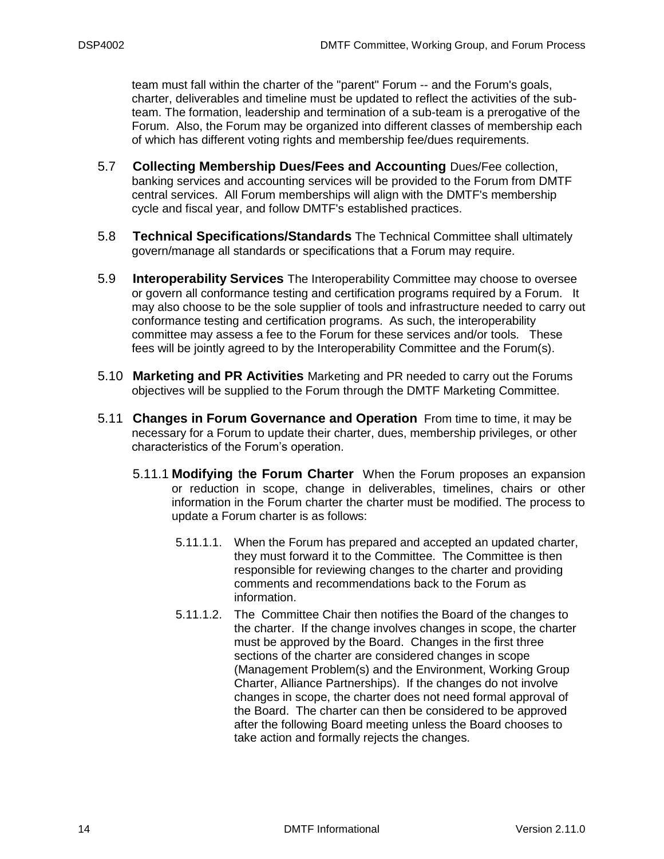team must fall within the charter of the "parent" Forum -- and the Forum's goals, charter, deliverables and timeline must be updated to reflect the activities of the subteam. The formation, leadership and termination of a sub-team is a prerogative of the Forum. Also, the Forum may be organized into different classes of membership each of which has different voting rights and membership fee/dues requirements.

- <span id="page-13-0"></span>5.7 **Collecting Membership Dues/Fees and Accounting** Dues/Fee collection, banking services and accounting services will be provided to the Forum from DMTF central services. All Forum memberships will align with the DMTF's membership cycle and fiscal year, and follow DMTF's established practices.
- <span id="page-13-1"></span>5.8 **Technical Specifications/Standards** The Technical Committee shall ultimately govern/manage all standards or specifications that a Forum may require.
- <span id="page-13-2"></span>5.9 **Interoperability Services** The Interoperability Committee may choose to oversee or govern all conformance testing and certification programs required by a Forum. It may also choose to be the sole supplier of tools and infrastructure needed to carry out conformance testing and certification programs. As such, the interoperability committee may assess a fee to the Forum for these services and/or tools. These fees will be jointly agreed to by the Interoperability Committee and the Forum(s).
- <span id="page-13-3"></span>5.10 **Marketing and PR Activities** Marketing and PR needed to carry out the Forums objectives will be supplied to the Forum through the DMTF Marketing Committee.
- <span id="page-13-4"></span>5.11 **Changes in Forum Governance and Operation** From time to time, it may be necessary for a Forum to update their charter, dues, membership privileges, or other characteristics of the Forum's operation.
	- 5.11.1 **Modifying** t**he Forum Charter** When the Forum proposes an expansion or reduction in scope, change in deliverables, timelines, chairs or other information in the Forum charter the charter must be modified. The process to update a Forum charter is as follows:
		- 5.11.1.1. When the Forum has prepared and accepted an updated charter, they must forward it to the Committee. The Committee is then responsible for reviewing changes to the charter and providing comments and recommendations back to the Forum as information.
		- 5.11.1.2. The Committee Chair then notifies the Board of the changes to the charter. If the change involves changes in scope, the charter must be approved by the Board. Changes in the first three sections of the charter are considered changes in scope (Management Problem(s) and the Environment, Working Group Charter, Alliance Partnerships). If the changes do not involve changes in scope, the charter does not need formal approval of the Board. The charter can then be considered to be approved after the following Board meeting unless the Board chooses to take action and formally rejects the changes.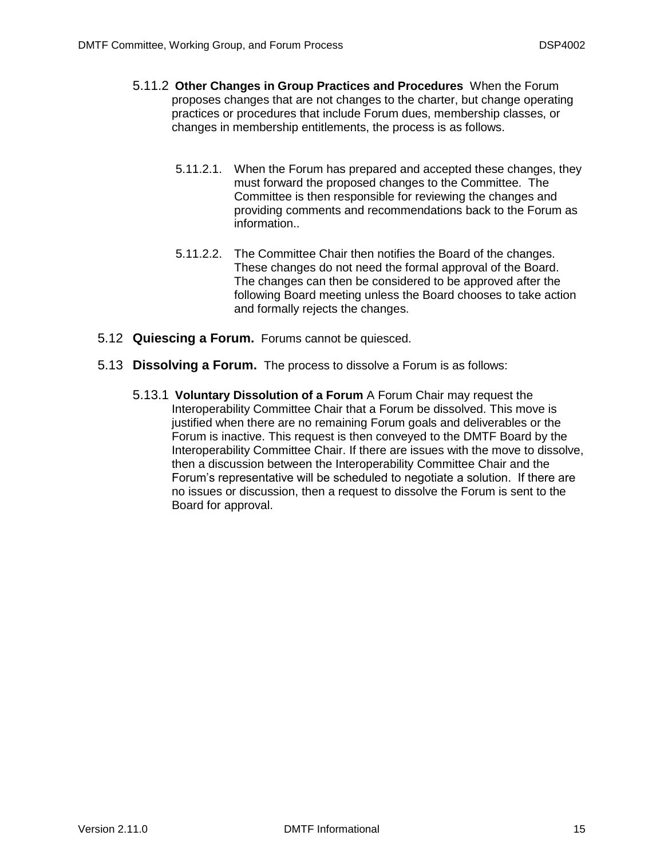- 5.11.2 **Other Changes in Group Practices and Procedures** When the Forum proposes changes that are not changes to the charter, but change operating practices or procedures that include Forum dues, membership classes, or changes in membership entitlements, the process is as follows.
	- 5.11.2.1. When the Forum has prepared and accepted these changes, they must forward the proposed changes to the Committee. The Committee is then responsible for reviewing the changes and providing comments and recommendations back to the Forum as information..
	- 5.11.2.2. The Committee Chair then notifies the Board of the changes. These changes do not need the formal approval of the Board. The changes can then be considered to be approved after the following Board meeting unless the Board chooses to take action and formally rejects the changes.
- <span id="page-14-0"></span>5.12 **Quiescing a Forum.** Forums cannot be quiesced.
- <span id="page-14-1"></span>5.13 **Dissolving a Forum.** The process to dissolve a Forum is as follows:
	- 5.13.1 **Voluntary Dissolution of a Forum** A Forum Chair may request the Interoperability Committee Chair that a Forum be dissolved. This move is justified when there are no remaining Forum goals and deliverables or the Forum is inactive. This request is then conveyed to the DMTF Board by the Interoperability Committee Chair. If there are issues with the move to dissolve, then a discussion between the Interoperability Committee Chair and the Forum's representative will be scheduled to negotiate a solution. If there are no issues or discussion, then a request to dissolve the Forum is sent to the Board for approval.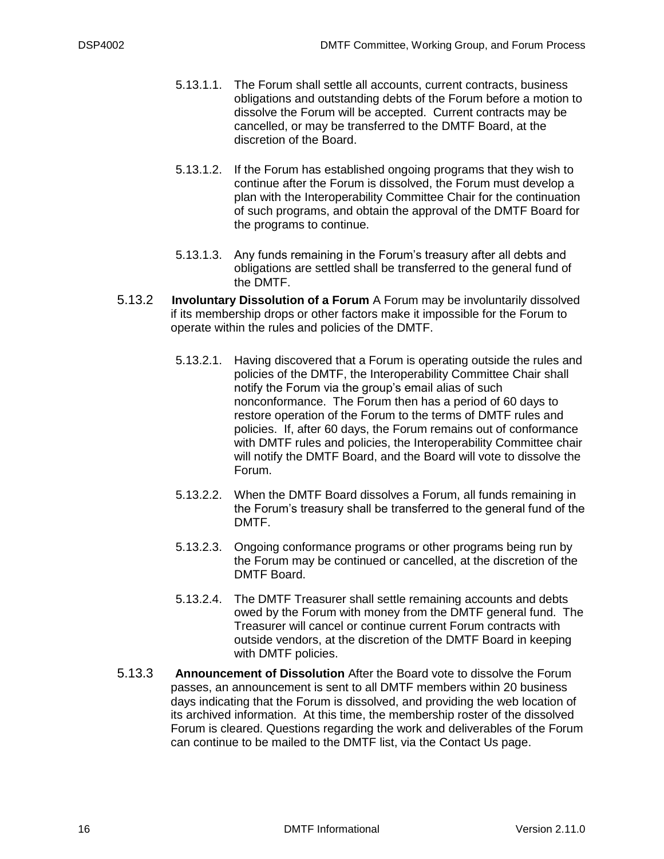- 5.13.1.1. The Forum shall settle all accounts, current contracts, business obligations and outstanding debts of the Forum before a motion to dissolve the Forum will be accepted. Current contracts may be cancelled, or may be transferred to the DMTF Board, at the discretion of the Board.
- 5.13.1.2. If the Forum has established ongoing programs that they wish to continue after the Forum is dissolved, the Forum must develop a plan with the Interoperability Committee Chair for the continuation of such programs, and obtain the approval of the DMTF Board for the programs to continue.
- 5.13.1.3. Any funds remaining in the Forum's treasury after all debts and obligations are settled shall be transferred to the general fund of the DMTF.
- 5.13.2 **Involuntary Dissolution of a Forum** A Forum may be involuntarily dissolved if its membership drops or other factors make it impossible for the Forum to operate within the rules and policies of the DMTF.
	- 5.13.2.1. Having discovered that a Forum is operating outside the rules and policies of the DMTF, the Interoperability Committee Chair shall notify the Forum via the group's email alias of such nonconformance. The Forum then has a period of 60 days to restore operation of the Forum to the terms of DMTF rules and policies. If, after 60 days, the Forum remains out of conformance with DMTF rules and policies, the Interoperability Committee chair will notify the DMTF Board, and the Board will vote to dissolve the Forum.
	- 5.13.2.2. When the DMTF Board dissolves a Forum, all funds remaining in the Forum's treasury shall be transferred to the general fund of the DMTF.
	- 5.13.2.3. Ongoing conformance programs or other programs being run by the Forum may be continued or cancelled, at the discretion of the DMTF Board.
	- 5.13.2.4. The DMTF Treasurer shall settle remaining accounts and debts owed by the Forum with money from the DMTF general fund. The Treasurer will cancel or continue current Forum contracts with outside vendors, at the discretion of the DMTF Board in keeping with DMTF policies.
- 5.13.3 **Announcement of Dissolution** After the Board vote to dissolve the Forum passes, an announcement is sent to all DMTF members within 20 business days indicating that the Forum is dissolved, and providing the web location of its archived information. At this time, the membership roster of the dissolved Forum is cleared. Questions regarding the work and deliverables of the Forum can continue to be mailed to the DMTF list, via the Contact Us page.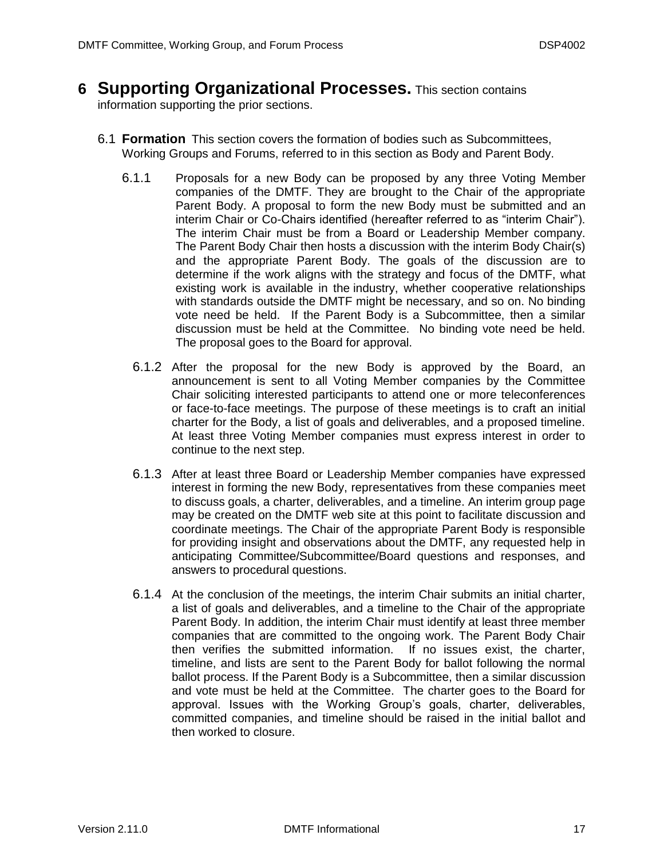#### <span id="page-16-0"></span>**6 Supporting Organizational Processes.** This section contains

information supporting the prior sections.

- <span id="page-16-1"></span>6.1 **Formation** This section covers the formation of bodies such as Subcommittees, Working Groups and Forums, referred to in this section as Body and Parent Body.
	- 6.1.1 Proposals for a new Body can be proposed by any three Voting Member companies of the DMTF. They are brought to the Chair of the appropriate Parent Body. A proposal to form the new Body must be submitted and an interim Chair or Co-Chairs identified (hereafter referred to as "interim Chair"). The interim Chair must be from a Board or Leadership Member company. The Parent Body Chair then hosts a discussion with the interim Body Chair(s) and the appropriate Parent Body. The goals of the discussion are to determine if the work aligns with the strategy and focus of the DMTF, what existing work is available in the industry, whether cooperative relationships with standards outside the DMTF might be necessary, and so on. No binding vote need be held. If the Parent Body is a Subcommittee, then a similar discussion must be held at the Committee. No binding vote need be held. The proposal goes to the Board for approval.
		- 6.1.2 After the proposal for the new Body is approved by the Board, an announcement is sent to all Voting Member companies by the Committee Chair soliciting interested participants to attend one or more teleconferences or face-to-face meetings. The purpose of these meetings is to craft an initial charter for the Body, a list of goals and deliverables, and a proposed timeline. At least three Voting Member companies must express interest in order to continue to the next step.
		- 6.1.3 After at least three Board or Leadership Member companies have expressed interest in forming the new Body, representatives from these companies meet to discuss goals, a charter, deliverables, and a timeline. An interim group page may be created on the DMTF web site at this point to facilitate discussion and coordinate meetings. The Chair of the appropriate Parent Body is responsible for providing insight and observations about the DMTF, any requested help in anticipating Committee/Subcommittee/Board questions and responses, and answers to procedural questions.
		- 6.1.4 At the conclusion of the meetings, the interim Chair submits an initial charter, a list of goals and deliverables, and a timeline to the Chair of the appropriate Parent Body. In addition, the interim Chair must identify at least three member companies that are committed to the ongoing work. The Parent Body Chair then verifies the submitted information. If no issues exist, the charter, timeline, and lists are sent to the Parent Body for ballot following the normal ballot process. If the Parent Body is a Subcommittee, then a similar discussion and vote must be held at the Committee. The charter goes to the Board for approval. Issues with the Working Group's goals, charter, deliverables, committed companies, and timeline should be raised in the initial ballot and then worked to closure.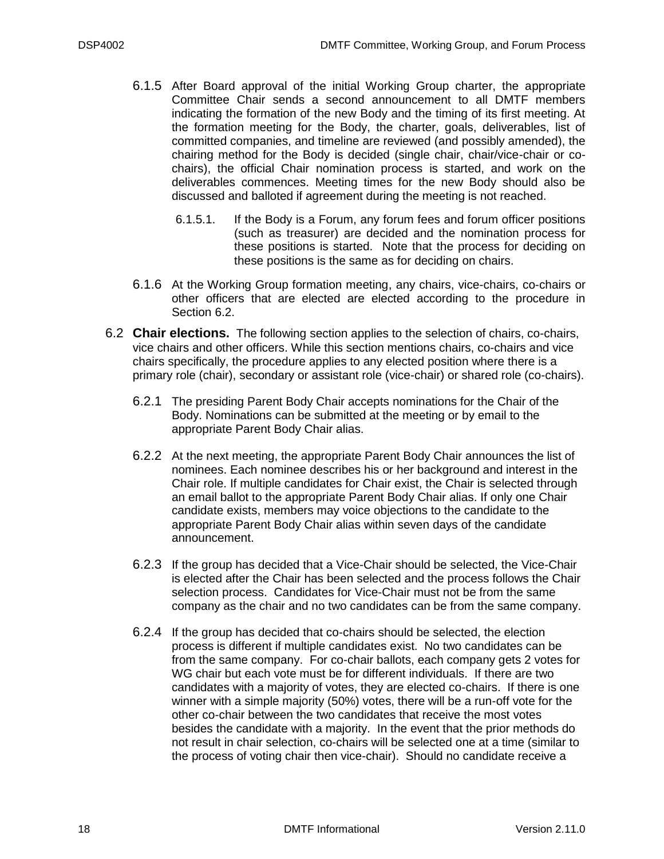- 6.1.5 After Board approval of the initial Working Group charter, the appropriate Committee Chair sends a second announcement to all DMTF members indicating the formation of the new Body and the timing of its first meeting. At the formation meeting for the Body, the charter, goals, deliverables, list of committed companies, and timeline are reviewed (and possibly amended), the chairing method for the Body is decided (single chair, chair/vice-chair or cochairs), the official Chair nomination process is started, and work on the deliverables commences. Meeting times for the new Body should also be discussed and balloted if agreement during the meeting is not reached.
	- 6.1.5.1. If the Body is a Forum, any forum fees and forum officer positions (such as treasurer) are decided and the nomination process for these positions is started. Note that the process for deciding on these positions is the same as for deciding on chairs.
- 6.1.6 At the Working Group formation meeting, any chairs, vice-chairs, co-chairs or other officers that are elected are elected according to the procedure in Section [6.2.](#page-17-0)
- <span id="page-17-0"></span>6.2 **Chair elections.** The following section applies to the selection of chairs, co-chairs, vice chairs and other officers. While this section mentions chairs, co-chairs and vice chairs specifically, the procedure applies to any elected position where there is a primary role (chair), secondary or assistant role (vice-chair) or shared role (co-chairs).
	- 6.2.1 The presiding Parent Body Chair accepts nominations for the Chair of the Body. Nominations can be submitted at the meeting or by email to the appropriate Parent Body Chair alias.
	- 6.2.2 At the next meeting, the appropriate Parent Body Chair announces the list of nominees. Each nominee describes his or her background and interest in the Chair role. If multiple candidates for Chair exist, the Chair is selected through an email ballot to the appropriate Parent Body Chair alias. If only one Chair candidate exists, members may voice objections to the candidate to the appropriate Parent Body Chair alias within seven days of the candidate announcement.
	- 6.2.3 If the group has decided that a Vice-Chair should be selected, the Vice-Chair is elected after the Chair has been selected and the process follows the Chair selection process. Candidates for Vice-Chair must not be from the same company as the chair and no two candidates can be from the same company.
	- 6.2.4 If the group has decided that co-chairs should be selected, the election process is different if multiple candidates exist. No two candidates can be from the same company. For co-chair ballots, each company gets 2 votes for WG chair but each vote must be for different individuals. If there are two candidates with a majority of votes, they are elected co-chairs. If there is one winner with a simple majority (50%) votes, there will be a run-off vote for the other co-chair between the two candidates that receive the most votes besides the candidate with a majority. In the event that the prior methods do not result in chair selection, co-chairs will be selected one at a time (similar to the process of voting chair then vice-chair). Should no candidate receive a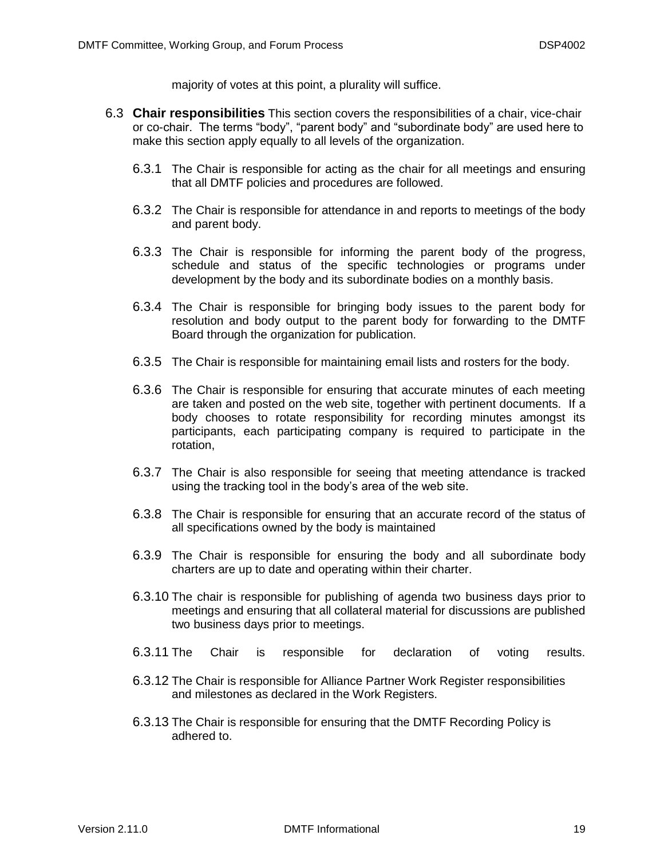majority of votes at this point, a plurality will suffice.

- <span id="page-18-0"></span>6.3 **Chair responsibilities** This section covers the responsibilities of a chair, vice-chair or co-chair. The terms "body", "parent body" and "subordinate body" are used here to make this section apply equally to all levels of the organization.
	- 6.3.1 The Chair is responsible for acting as the chair for all meetings and ensuring that all DMTF policies and procedures are followed.
	- 6.3.2 The Chair is responsible for attendance in and reports to meetings of the body and parent body.
	- 6.3.3 The Chair is responsible for informing the parent body of the progress, schedule and status of the specific technologies or programs under development by the body and its subordinate bodies on a monthly basis.
	- 6.3.4 The Chair is responsible for bringing body issues to the parent body for resolution and body output to the parent body for forwarding to the DMTF Board through the organization for publication.
	- 6.3.5 The Chair is responsible for maintaining email lists and rosters for the body.
	- 6.3.6 The Chair is responsible for ensuring that accurate minutes of each meeting are taken and posted on the web site, together with pertinent documents. If a body chooses to rotate responsibility for recording minutes amongst its participants, each participating company is required to participate in the rotation,
	- 6.3.7 The Chair is also responsible for seeing that meeting attendance is tracked using the tracking tool in the body's area of the web site.
	- 6.3.8 The Chair is responsible for ensuring that an accurate record of the status of all specifications owned by the body is maintained
	- 6.3.9 The Chair is responsible for ensuring the body and all subordinate body charters are up to date and operating within their charter.
	- 6.3.10 The chair is responsible for publishing of agenda two business days prior to meetings and ensuring that all collateral material for discussions are published two business days prior to meetings.
	- 6.3.11 The Chair is responsible for declaration of voting results.
	- 6.3.12 The Chair is responsible for Alliance Partner Work Register responsibilities and milestones as declared in the Work Registers.
	- 6.3.13 The Chair is responsible for ensuring that the DMTF Recording Policy is adhered to.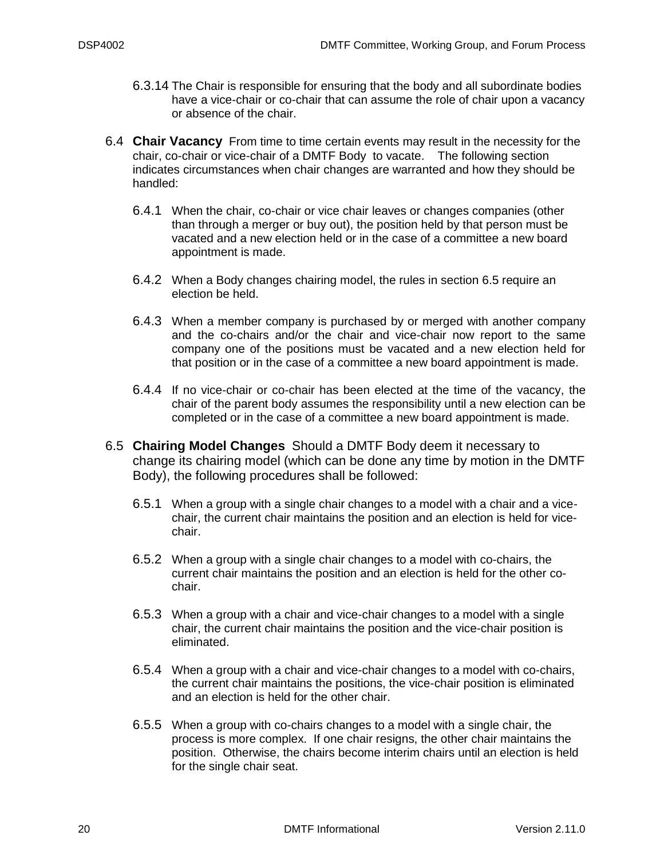- 6.3.14 The Chair is responsible for ensuring that the body and all subordinate bodies have a vice-chair or co-chair that can assume the role of chair upon a vacancy or absence of the chair.
- <span id="page-19-0"></span>6.4 **Chair Vacancy** From time to time certain events may result in the necessity for the chair, co-chair or vice-chair of a DMTF Body to vacate. The following section indicates circumstances when chair changes are warranted and how they should be handled:
	- 6.4.1 When the chair, co-chair or vice chair leaves or changes companies (other than through a merger or buy out), the position held by that person must be vacated and a new election held or in the case of a committee a new board appointment is made.
	- 6.4.2 When a Body changes chairing model, the rules in section [6.5](#page-19-1) require an election be held.
	- 6.4.3 When a member company is purchased by or merged with another company and the co-chairs and/or the chair and vice-chair now report to the same company one of the positions must be vacated and a new election held for that position or in the case of a committee a new board appointment is made.
	- 6.4.4 If no vice-chair or co-chair has been elected at the time of the vacancy, the chair of the parent body assumes the responsibility until a new election can be completed or in the case of a committee a new board appointment is made.
- <span id="page-19-1"></span>6.5 **Chairing Model Changes** Should a DMTF Body deem it necessary to change its chairing model (which can be done any time by motion in the DMTF Body), the following procedures shall be followed:
	- 6.5.1 When a group with a single chair changes to a model with a chair and a vicechair, the current chair maintains the position and an election is held for vicechair.
	- 6.5.2 When a group with a single chair changes to a model with co-chairs, the current chair maintains the position and an election is held for the other cochair.
	- 6.5.3 When a group with a chair and vice-chair changes to a model with a single chair, the current chair maintains the position and the vice-chair position is eliminated.
	- 6.5.4 When a group with a chair and vice-chair changes to a model with co-chairs, the current chair maintains the positions, the vice-chair position is eliminated and an election is held for the other chair.
	- 6.5.5 When a group with co-chairs changes to a model with a single chair, the process is more complex. If one chair resigns, the other chair maintains the position. Otherwise, the chairs become interim chairs until an election is held for the single chair seat.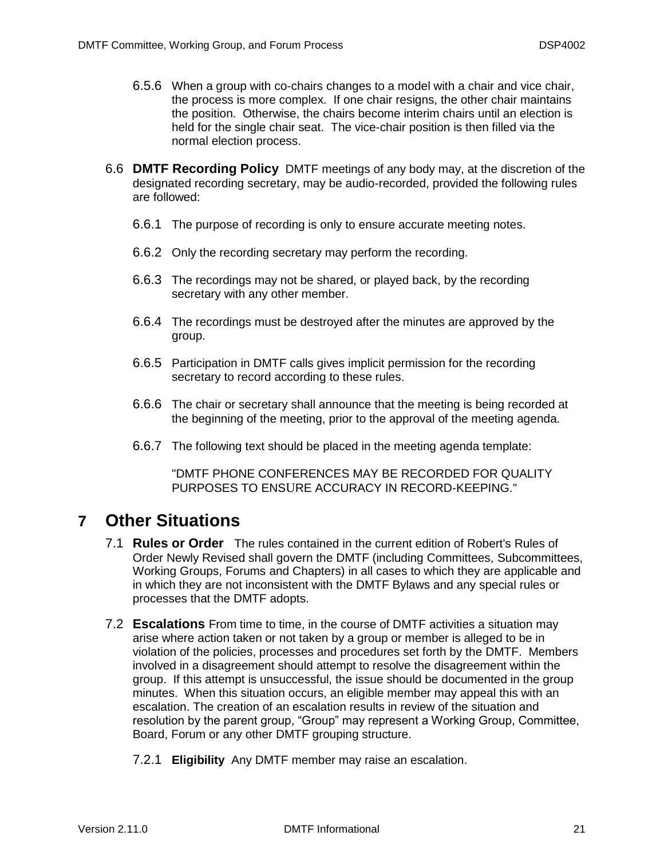- 6.5.6 When a group with co-chairs changes to a model with a chair and vice chair, the process is more complex. If one chair resigns, the other chair maintains the position. Otherwise, the chairs become interim chairs until an election is held for the single chair seat. The vice-chair position is then filled via the normal election process.
- <span id="page-20-0"></span>6.6 **DMTF Recording Policy** DMTF meetings of any body may, at the discretion of the designated recording secretary, may be audio-recorded, provided the following rules are followed:
	- 6.6.1 The purpose of recording is only to ensure accurate meeting notes.
	- 6.6.2 Only the recording secretary may perform the recording.
	- 6.6.3 The recordings may not be shared, or played back, by the recording secretary with any other member.
	- 6.6.4 The recordings must be destroyed after the minutes are approved by the group.
	- 6.6.5 Participation in DMTF calls gives implicit permission for the recording secretary to record according to these rules.
	- 6.6.6 The chair or secretary shall announce that the meeting is being recorded at the beginning of the meeting, prior to the approval of the meeting agenda.
	- 6.6.7 The following text should be placed in the meeting agenda template:

"DMTF PHONE CONFERENCES MAY BE RECORDED FOR QUALITY PURPOSES TO ENSURE ACCURACY IN RECORD-KEEPING."

#### <span id="page-20-2"></span><span id="page-20-1"></span>**7 Other Situations**

- 7.1 **Rules or Order** The rules contained in the current edition of Robert's Rules of Order Newly Revised shall govern the DMTF (including Committees, Subcommittees, Working Groups, Forums and Chapters) in all cases to which they are applicable and in which they are not inconsistent with the DMTF Bylaws and any special rules or processes that the DMTF adopts.
- <span id="page-20-3"></span>7.2 **Escalations** From time to time, in the course of DMTF activities a situation may arise where action taken or not taken by a group or member is alleged to be in violation of the policies, processes and procedures set forth by the DMTF. Members involved in a disagreement should attempt to resolve the disagreement within the group. If this attempt is unsuccessful, the issue should be documented in the group minutes. When this situation occurs, an eligible member may appeal this with an escalation. The creation of an escalation results in review of the situation and resolution by the parent group, "Group" may represent a Working Group, Committee, Board, Forum or any other DMTF grouping structure.
	- 7.2.1 **Eligibility** Any DMTF member may raise an escalation.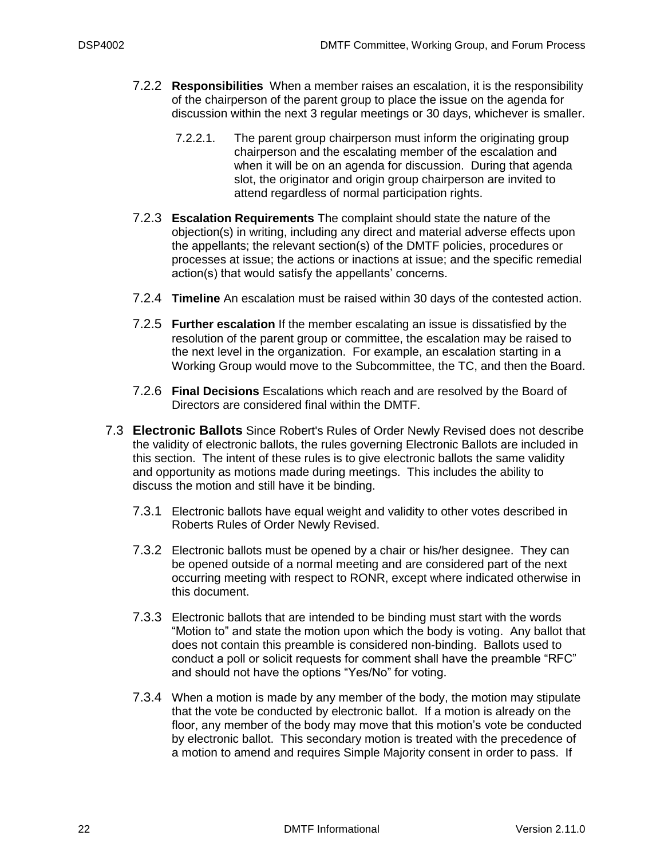- 7.2.2 **Responsibilities** When a member raises an escalation, it is the responsibility of the chairperson of the parent group to place the issue on the agenda for discussion within the next 3 regular meetings or 30 days, whichever is smaller.
	- 7.2.2.1. The parent group chairperson must inform the originating group chairperson and the escalating member of the escalation and when it will be on an agenda for discussion. During that agenda slot, the originator and origin group chairperson are invited to attend regardless of normal participation rights.
- 7.2.3 **Escalation Requirements** The complaint should state the nature of the objection(s) in writing, including any direct and material adverse effects upon the appellants; the relevant section(s) of the DMTF policies, procedures or processes at issue; the actions or inactions at issue; and the specific remedial action(s) that would satisfy the appellants' concerns.
- 7.2.4 **Timeline** An escalation must be raised within 30 days of the contested action.
- 7.2.5 **Further escalation** If the member escalating an issue is dissatisfied by the resolution of the parent group or committee, the escalation may be raised to the next level in the organization. For example, an escalation starting in a Working Group would move to the Subcommittee, the TC, and then the Board.
- 7.2.6 **Final Decisions** Escalations which reach and are resolved by the Board of Directors are considered final within the DMTF.
- <span id="page-21-0"></span>7.3 **Electronic Ballots** Since Robert's Rules of Order Newly Revised does not describe the validity of electronic ballots, the rules governing Electronic Ballots are included in this section. The intent of these rules is to give electronic ballots the same validity and opportunity as motions made during meetings. This includes the ability to discuss the motion and still have it be binding.
	- 7.3.1 Electronic ballots have equal weight and validity to other votes described in Roberts Rules of Order Newly Revised.
	- 7.3.2 Electronic ballots must be opened by a chair or his/her designee. They can be opened outside of a normal meeting and are considered part of the next occurring meeting with respect to RONR, except where indicated otherwise in this document.
	- 7.3.3 Electronic ballots that are intended to be binding must start with the words "Motion to" and state the motion upon which the body is voting. Any ballot that does not contain this preamble is considered non-binding. Ballots used to conduct a poll or solicit requests for comment shall have the preamble "RFC" and should not have the options "Yes/No" for voting.
	- 7.3.4 When a motion is made by any member of the body, the motion may stipulate that the vote be conducted by electronic ballot. If a motion is already on the floor, any member of the body may move that this motion's vote be conducted by electronic ballot. This secondary motion is treated with the precedence of a motion to amend and requires Simple Majority consent in order to pass. If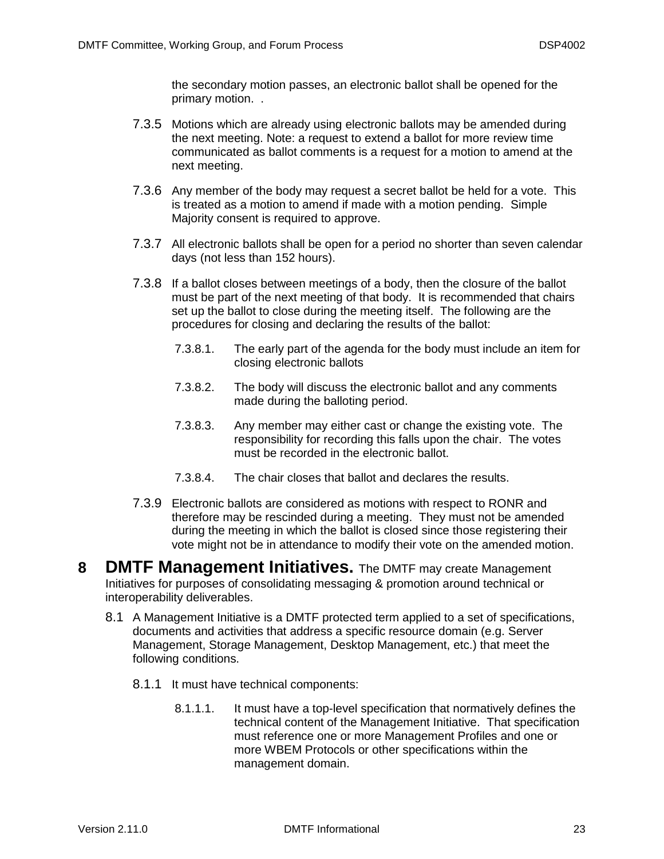the secondary motion passes, an electronic ballot shall be opened for the primary motion. .

- 7.3.5 Motions which are already using electronic ballots may be amended during the next meeting. Note: a request to extend a ballot for more review time communicated as ballot comments is a request for a motion to amend at the next meeting.
- 7.3.6 Any member of the body may request a secret ballot be held for a vote. This is treated as a motion to amend if made with a motion pending. Simple Majority consent is required to approve.
- 7.3.7 All electronic ballots shall be open for a period no shorter than seven calendar days (not less than 152 hours).
- 7.3.8 If a ballot closes between meetings of a body, then the closure of the ballot must be part of the next meeting of that body. It is recommended that chairs set up the ballot to close during the meeting itself. The following are the procedures for closing and declaring the results of the ballot:
	- 7.3.8.1. The early part of the agenda for the body must include an item for closing electronic ballots
	- 7.3.8.2. The body will discuss the electronic ballot and any comments made during the balloting period.
	- 7.3.8.3. Any member may either cast or change the existing vote. The responsibility for recording this falls upon the chair. The votes must be recorded in the electronic ballot.
	- 7.3.8.4. The chair closes that ballot and declares the results.
- 7.3.9 Electronic ballots are considered as motions with respect to RONR and therefore may be rescinded during a meeting. They must not be amended during the meeting in which the ballot is closed since those registering their vote might not be in attendance to modify their vote on the amended motion.
- <span id="page-22-0"></span>**8 DMTF Management Initiatives.** The DMTF may create Management Initiatives for purposes of consolidating messaging & promotion around technical or interoperability deliverables.
	- 8.1 A Management Initiative is a DMTF protected term applied to a set of specifications, documents and activities that address a specific resource domain (e.g. Server Management, Storage Management, Desktop Management, etc.) that meet the following conditions.
		- 8.1.1 It must have technical components:
			- 8.1.1.1. It must have a top-level specification that normatively defines the technical content of the Management Initiative. That specification must reference one or more Management Profiles and one or more WBEM Protocols or other specifications within the management domain.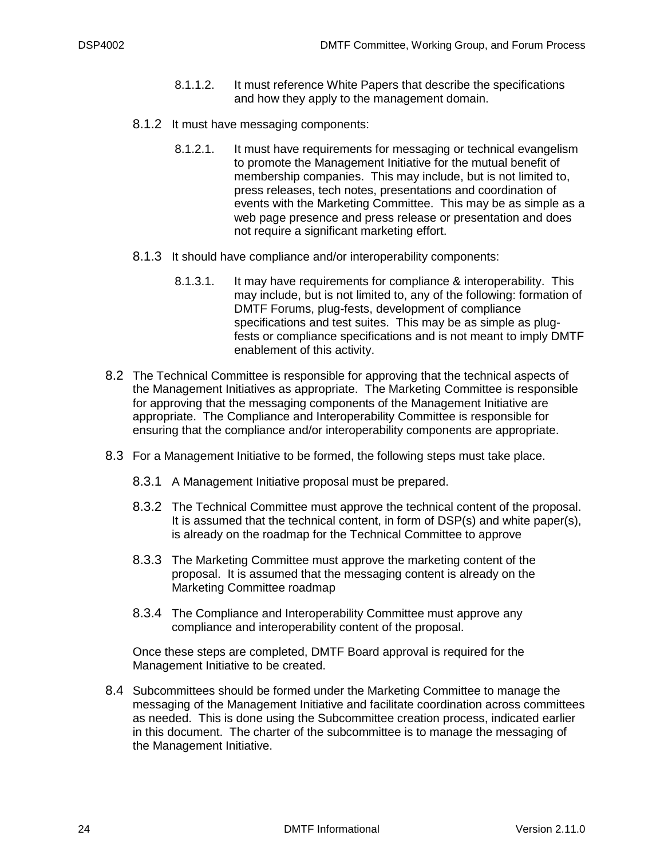- 8.1.1.2. It must reference White Papers that describe the specifications and how they apply to the management domain.
- 8.1.2 It must have messaging components:
	- 8.1.2.1. It must have requirements for messaging or technical evangelism to promote the Management Initiative for the mutual benefit of membership companies. This may include, but is not limited to, press releases, tech notes, presentations and coordination of events with the Marketing Committee. This may be as simple as a web page presence and press release or presentation and does not require a significant marketing effort.
- 8.1.3 It should have compliance and/or interoperability components:
	- 8.1.3.1. It may have requirements for compliance & interoperability. This may include, but is not limited to, any of the following: formation of DMTF Forums, plug-fests, development of compliance specifications and test suites. This may be as simple as plugfests or compliance specifications and is not meant to imply DMTF enablement of this activity.
- 8.2 The Technical Committee is responsible for approving that the technical aspects of the Management Initiatives as appropriate. The Marketing Committee is responsible for approving that the messaging components of the Management Initiative are appropriate. The Compliance and Interoperability Committee is responsible for ensuring that the compliance and/or interoperability components are appropriate.
- 8.3 For a Management Initiative to be formed, the following steps must take place.
	- 8.3.1 A Management Initiative proposal must be prepared.
	- 8.3.2 The Technical Committee must approve the technical content of the proposal. It is assumed that the technical content, in form of DSP(s) and white paper(s), is already on the roadmap for the Technical Committee to approve
	- 8.3.3 The Marketing Committee must approve the marketing content of the proposal. It is assumed that the messaging content is already on the Marketing Committee roadmap
	- 8.3.4 The Compliance and Interoperability Committee must approve any compliance and interoperability content of the proposal.

Once these steps are completed, DMTF Board approval is required for the Management Initiative to be created.

8.4 Subcommittees should be formed under the Marketing Committee to manage the messaging of the Management Initiative and facilitate coordination across committees as needed. This is done using the Subcommittee creation process, indicated earlier in this document. The charter of the subcommittee is to manage the messaging of the Management Initiative.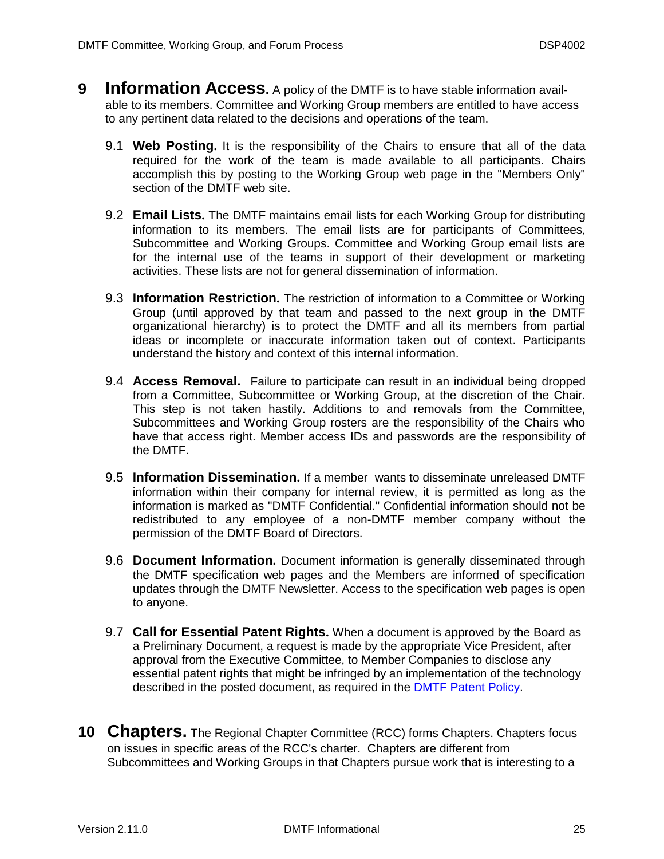- <span id="page-24-4"></span><span id="page-24-3"></span><span id="page-24-2"></span><span id="page-24-1"></span><span id="page-24-0"></span>**9 Information Access.** A policy of the DMTF is to have stable information available to its members. Committee and Working Group members are entitled to have access to any pertinent data related to the decisions and operations of the team.
	- 9.1 **Web Posting.** It is the responsibility of the Chairs to ensure that all of the data required for the work of the team is made available to all participants. Chairs accomplish this by posting to the Working Group web page in the "Members Only" section of the DMTF web site.
	- 9.2 **Email Lists.** The DMTF maintains email lists for each Working Group for distributing information to its members. The email lists are for participants of Committees, Subcommittee and Working Groups. Committee and Working Group email lists are for the internal use of the teams in support of their development or marketing activities. These lists are not for general dissemination of information.
	- 9.3 **Information Restriction.** The restriction of information to a Committee or Working Group (until approved by that team and passed to the next group in the DMTF organizational hierarchy) is to protect the DMTF and all its members from partial ideas or incomplete or inaccurate information taken out of context. Participants understand the history and context of this internal information.
	- 9.4 **Access Removal.** Failure to participate can result in an individual being dropped from a Committee, Subcommittee or Working Group, at the discretion of the Chair. This step is not taken hastily. Additions to and removals from the Committee, Subcommittees and Working Group rosters are the responsibility of the Chairs who have that access right. Member access IDs and passwords are the responsibility of the DMTF.
	- 9.5 **Information Dissemination.** If a member wants to disseminate unreleased DMTF information within their company for internal review, it is permitted as long as the information is marked as "DMTF Confidential." Confidential information should not be redistributed to any employee of a non-DMTF member company without the permission of the DMTF Board of Directors.
	- 9.6 **Document Information.** Document information is generally disseminated through the DMTF specification web pages and the Members are informed of specification updates through the DMTF Newsletter. Access to the specification web pages is open to anyone.
	- 9.7 **Call for Essential Patent Rights.** When a document is approved by the Board as a Preliminary Document, a request is made by the appropriate Vice President, after approval from the Executive Committee, to Member Companies to disclose any essential patent rights that might be infringed by an implementation of the technology described in the posted document, as required in the [DMTF Patent Policy.](http://www.dmtf.org/about/policies/patent-10-18-01.pdf)
- <span id="page-24-8"></span><span id="page-24-7"></span><span id="page-24-6"></span><span id="page-24-5"></span>**10 Chapters.** The Regional Chapter Committee (RCC) forms Chapters. Chapters focus on issues in specific areas of the RCC's charter. Chapters are different from Subcommittees and Working Groups in that Chapters pursue work that is interesting to a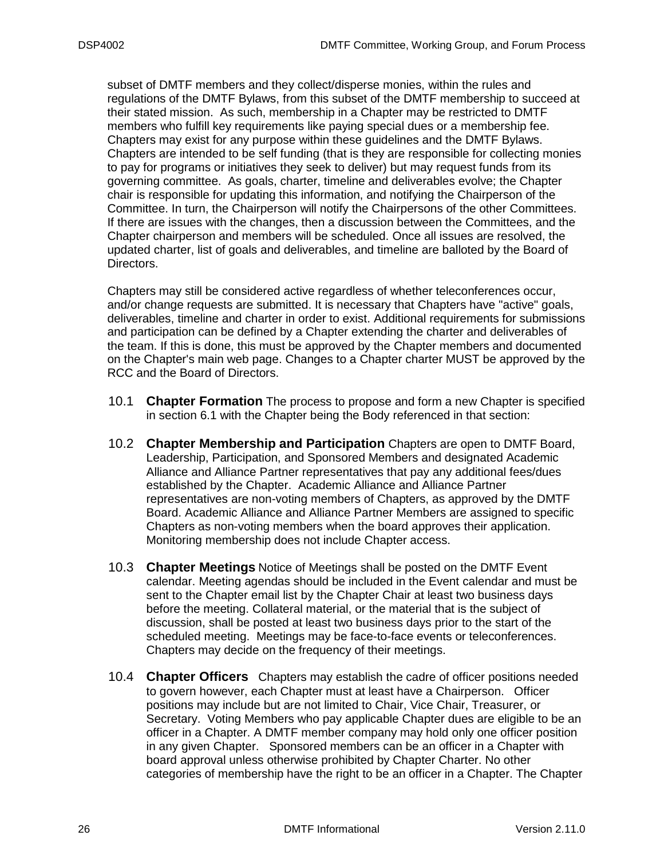subset of DMTF members and they collect/disperse monies, within the rules and regulations of the DMTF Bylaws, from this subset of the DMTF membership to succeed at their stated mission. As such, membership in a Chapter may be restricted to DMTF members who fulfill key requirements like paying special dues or a membership fee. Chapters may exist for any purpose within these guidelines and the DMTF Bylaws. Chapters are intended to be self funding (that is they are responsible for collecting monies to pay for programs or initiatives they seek to deliver) but may request funds from its governing committee. As goals, charter, timeline and deliverables evolve; the Chapter chair is responsible for updating this information, and notifying the Chairperson of the Committee. In turn, the Chairperson will notify the Chairpersons of the other Committees. If there are issues with the changes, then a discussion between the Committees, and the Chapter chairperson and members will be scheduled. Once all issues are resolved, the updated charter, list of goals and deliverables, and timeline are balloted by the Board of Directors.

Chapters may still be considered active regardless of whether teleconferences occur, and/or change requests are submitted. It is necessary that Chapters have "active" goals, deliverables, timeline and charter in order to exist. Additional requirements for submissions and participation can be defined by a Chapter extending the charter and deliverables of the team. If this is done, this must be approved by the Chapter members and documented on the Chapter's main web page. Changes to a Chapter charter MUST be approved by the RCC and the Board of Directors.

- <span id="page-25-0"></span>10.1 **Chapter Formation** The process to propose and form a new Chapter is specified in section [6.1](#page-16-1) with the Chapter being the Body referenced in that section:
- <span id="page-25-1"></span>10.2 **Chapter Membership and Participation** Chapters are open to DMTF Board, Leadership, Participation, and Sponsored Members and designated Academic Alliance and Alliance Partner representatives that pay any additional fees/dues established by the Chapter. Academic Alliance and Alliance Partner representatives are non-voting members of Chapters, as approved by the DMTF Board. Academic Alliance and Alliance Partner Members are assigned to specific Chapters as non-voting members when the board approves their application. Monitoring membership does not include Chapter access.
- <span id="page-25-2"></span>10.3 **Chapter Meetings** Notice of Meetings shall be posted on the DMTF Event calendar. Meeting agendas should be included in the Event calendar and must be sent to the Chapter email list by the Chapter Chair at least two business days before the meeting. Collateral material, or the material that is the subject of discussion, shall be posted at least two business days prior to the start of the scheduled meeting. Meetings may be face-to-face events or teleconferences. Chapters may decide on the frequency of their meetings.
- <span id="page-25-3"></span>10.4 **Chapter Officers** Chapters may establish the cadre of officer positions needed to govern however, each Chapter must at least have a Chairperson. Officer positions may include but are not limited to Chair, Vice Chair, Treasurer, or Secretary. Voting Members who pay applicable Chapter dues are eligible to be an officer in a Chapter. A DMTF member company may hold only one officer position in any given Chapter. Sponsored members can be an officer in a Chapter with board approval unless otherwise prohibited by Chapter Charter. No other categories of membership have the right to be an officer in a Chapter. The Chapter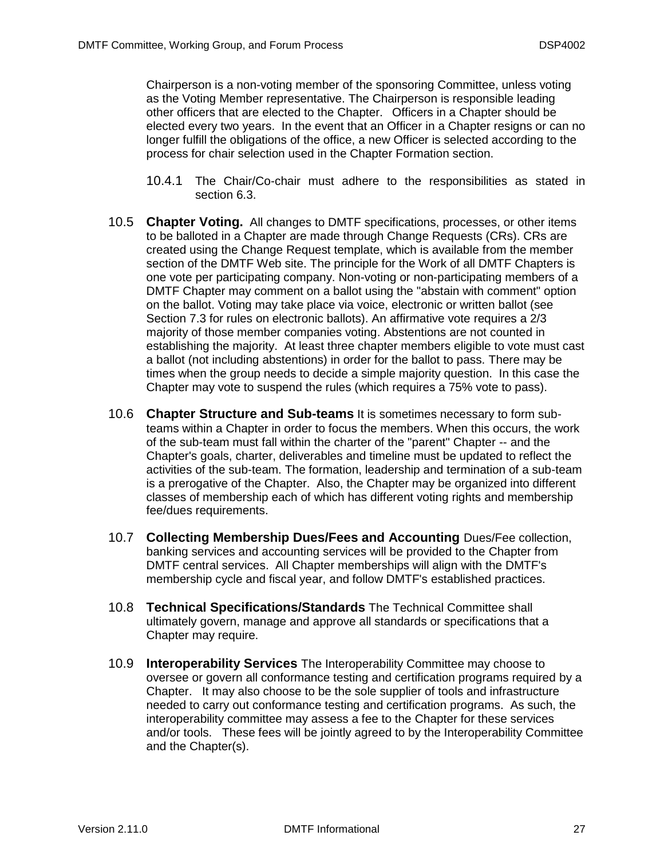Chairperson is a non-voting member of the sponsoring Committee, unless voting as the Voting Member representative. The Chairperson is responsible leading other officers that are elected to the Chapter. Officers in a Chapter should be elected every two years. In the event that an Officer in a Chapter resigns or can no longer fulfill the obligations of the office, a new Officer is selected according to the process for chair selection used in the Chapter Formation section.

- 10.4.1 The Chair/Co-chair must adhere to the responsibilities as stated in section [6.3.](#page-18-0)
- <span id="page-26-0"></span>10.5 **Chapter Voting.** All changes to DMTF specifications, processes, or other items to be balloted in a Chapter are made through Change Requests (CRs). CRs are created using the Change Request template, which is available from the member section of the DMTF Web site. The principle for the Work of all DMTF Chapters is one vote per participating company. Non-voting or non-participating members of a DMTF Chapter may comment on a ballot using the "abstain with comment" option on the ballot. Voting may take place via voice, electronic or written ballot (see Section [7.3](#page-21-0) for rules on electronic ballots). An affirmative vote requires a 2/3 majority of those member companies voting. Abstentions are not counted in establishing the majority. At least three chapter members eligible to vote must cast a ballot (not including abstentions) in order for the ballot to pass. There may be times when the group needs to decide a simple majority question. In this case the Chapter may vote to suspend the rules (which requires a 75% vote to pass).
- <span id="page-26-1"></span>10.6 **Chapter Structure and Sub-teams** It is sometimes necessary to form subteams within a Chapter in order to focus the members. When this occurs, the work of the sub-team must fall within the charter of the "parent" Chapter -- and the Chapter's goals, charter, deliverables and timeline must be updated to reflect the activities of the sub-team. The formation, leadership and termination of a sub-team is a prerogative of the Chapter. Also, the Chapter may be organized into different classes of membership each of which has different voting rights and membership fee/dues requirements.
- <span id="page-26-2"></span>10.7 **Collecting Membership Dues/Fees and Accounting** Dues/Fee collection, banking services and accounting services will be provided to the Chapter from DMTF central services. All Chapter memberships will align with the DMTF's membership cycle and fiscal year, and follow DMTF's established practices.
- <span id="page-26-3"></span>10.8 **Technical Specifications/Standards** The Technical Committee shall ultimately govern, manage and approve all standards or specifications that a Chapter may require.
- <span id="page-26-4"></span>10.9 **Interoperability Services** The Interoperability Committee may choose to oversee or govern all conformance testing and certification programs required by a Chapter. It may also choose to be the sole supplier of tools and infrastructure needed to carry out conformance testing and certification programs. As such, the interoperability committee may assess a fee to the Chapter for these services and/or tools. These fees will be jointly agreed to by the Interoperability Committee and the Chapter(s).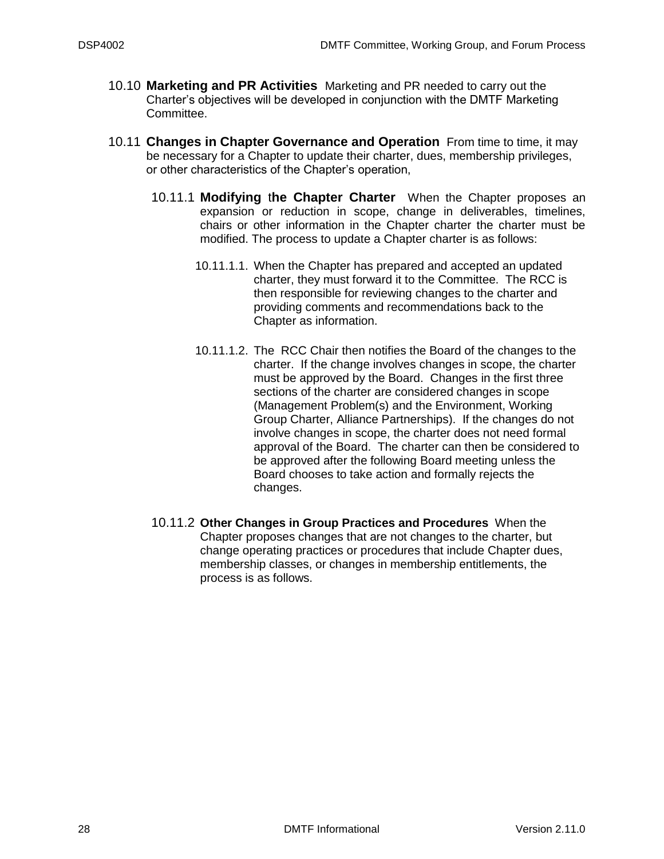- <span id="page-27-0"></span>10.10 **Marketing and PR Activities** Marketing and PR needed to carry out the Charter's objectives will be developed in conjunction with the DMTF Marketing Committee.
- <span id="page-27-1"></span>10.11 **Changes in Chapter Governance and Operation** From time to time, it may be necessary for a Chapter to update their charter, dues, membership privileges, or other characteristics of the Chapter's operation,
	- 10.11.1 **Modifying** t**he Chapter Charter** When the Chapter proposes an expansion or reduction in scope, change in deliverables, timelines, chairs or other information in the Chapter charter the charter must be modified. The process to update a Chapter charter is as follows:
		- 10.11.1.1. When the Chapter has prepared and accepted an updated charter, they must forward it to the Committee. The RCC is then responsible for reviewing changes to the charter and providing comments and recommendations back to the Chapter as information.
		- 10.11.1.2. The RCC Chair then notifies the Board of the changes to the charter. If the change involves changes in scope, the charter must be approved by the Board. Changes in the first three sections of the charter are considered changes in scope (Management Problem(s) and the Environment, Working Group Charter, Alliance Partnerships). If the changes do not involve changes in scope, the charter does not need formal approval of the Board. The charter can then be considered to be approved after the following Board meeting unless the Board chooses to take action and formally rejects the changes.
	- 10.11.2 **Other Changes in Group Practices and Procedures** When the Chapter proposes changes that are not changes to the charter, but change operating practices or procedures that include Chapter dues, membership classes, or changes in membership entitlements, the process is as follows.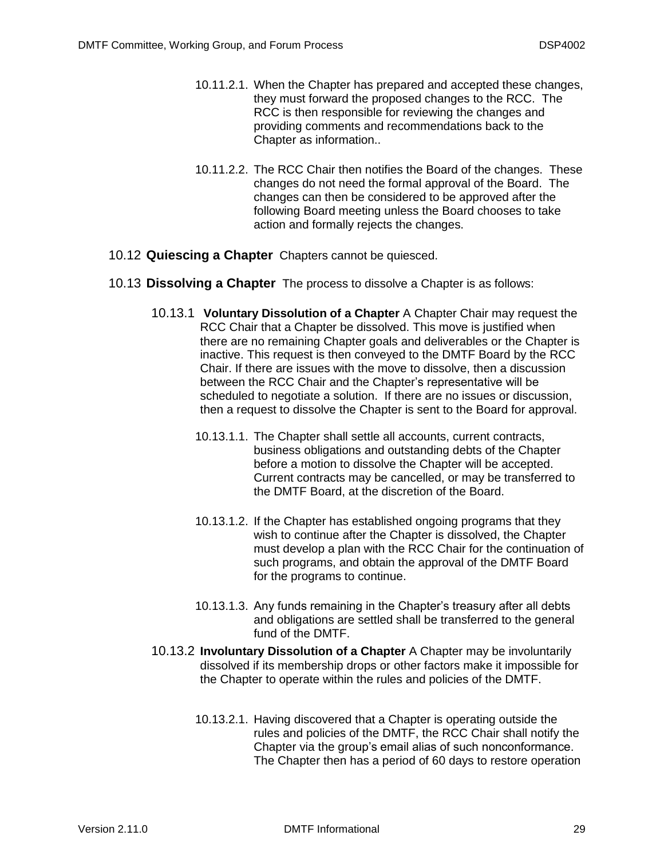- 10.11.2.1. When the Chapter has prepared and accepted these changes, they must forward the proposed changes to the RCC. The RCC is then responsible for reviewing the changes and providing comments and recommendations back to the Chapter as information..
- 10.11.2.2. The RCC Chair then notifies the Board of the changes. These changes do not need the formal approval of the Board. The changes can then be considered to be approved after the following Board meeting unless the Board chooses to take action and formally rejects the changes.
- <span id="page-28-1"></span><span id="page-28-0"></span>10.12 **Quiescing a Chapter** Chapters cannot be quiesced.
- 10.13 **Dissolving a Chapter** The process to dissolve a Chapter is as follows:
	- 10.13.1 **Voluntary Dissolution of a Chapter** A Chapter Chair may request the RCC Chair that a Chapter be dissolved. This move is justified when there are no remaining Chapter goals and deliverables or the Chapter is inactive. This request is then conveyed to the DMTF Board by the RCC Chair. If there are issues with the move to dissolve, then a discussion between the RCC Chair and the Chapter's representative will be scheduled to negotiate a solution. If there are no issues or discussion, then a request to dissolve the Chapter is sent to the Board for approval.
		- 10.13.1.1. The Chapter shall settle all accounts, current contracts, business obligations and outstanding debts of the Chapter before a motion to dissolve the Chapter will be accepted. Current contracts may be cancelled, or may be transferred to the DMTF Board, at the discretion of the Board.
		- 10.13.1.2. If the Chapter has established ongoing programs that they wish to continue after the Chapter is dissolved, the Chapter must develop a plan with the RCC Chair for the continuation of such programs, and obtain the approval of the DMTF Board for the programs to continue.
		- 10.13.1.3. Any funds remaining in the Chapter's treasury after all debts and obligations are settled shall be transferred to the general fund of the DMTF.
	- 10.13.2 **Involuntary Dissolution of a Chapter** A Chapter may be involuntarily dissolved if its membership drops or other factors make it impossible for the Chapter to operate within the rules and policies of the DMTF.
		- 10.13.2.1. Having discovered that a Chapter is operating outside the rules and policies of the DMTF, the RCC Chair shall notify the Chapter via the group's email alias of such nonconformance. The Chapter then has a period of 60 days to restore operation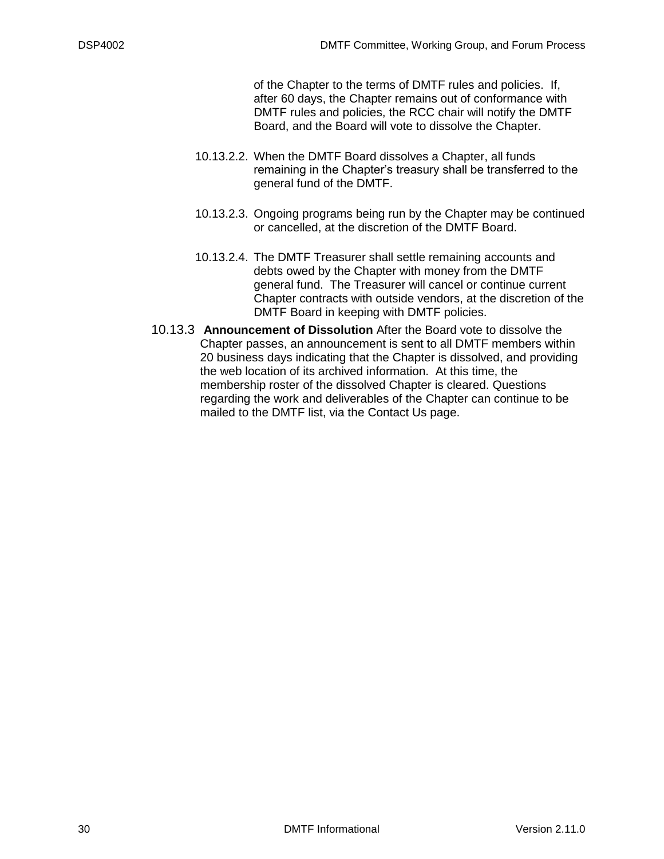of the Chapter to the terms of DMTF rules and policies. If, after 60 days, the Chapter remains out of conformance with DMTF rules and policies, the RCC chair will notify the DMTF Board, and the Board will vote to dissolve the Chapter.

- 10.13.2.2. When the DMTF Board dissolves a Chapter, all funds remaining in the Chapter's treasury shall be transferred to the general fund of the DMTF.
- 10.13.2.3. Ongoing programs being run by the Chapter may be continued or cancelled, at the discretion of the DMTF Board.
- 10.13.2.4. The DMTF Treasurer shall settle remaining accounts and debts owed by the Chapter with money from the DMTF general fund. The Treasurer will cancel or continue current Chapter contracts with outside vendors, at the discretion of the DMTF Board in keeping with DMTF policies.
- 10.13.3 **Announcement of Dissolution** After the Board vote to dissolve the Chapter passes, an announcement is sent to all DMTF members within 20 business days indicating that the Chapter is dissolved, and providing the web location of its archived information. At this time, the membership roster of the dissolved Chapter is cleared. Questions regarding the work and deliverables of the Chapter can continue to be mailed to the DMTF list, via the Contact Us page.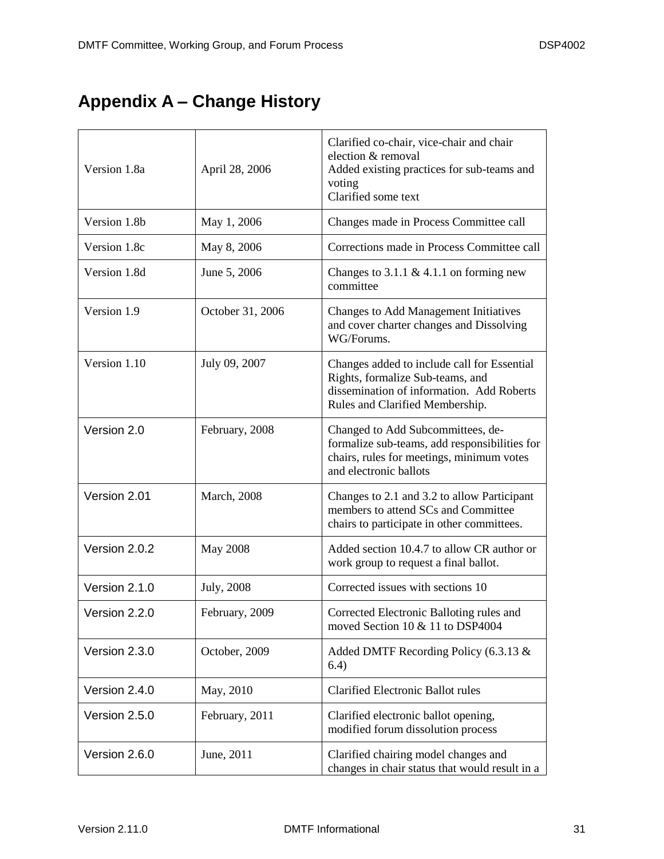## <span id="page-30-0"></span>**Appendix A – Change History**

| Version 1.8a  | April 28, 2006      | Clarified co-chair, vice-chair and chair<br>election & removal<br>Added existing practices for sub-teams and<br>voting<br>Clarified some text                   |
|---------------|---------------------|-----------------------------------------------------------------------------------------------------------------------------------------------------------------|
| Version 1.8b  | May 1, 2006         | Changes made in Process Committee call                                                                                                                          |
| Version 1.8c  | May 8, 2006         | Corrections made in Process Committee call                                                                                                                      |
| Version 1.8d  | June 5, 2006        | Changes to 3.1.1 & 4.1.1 on forming new<br>committee                                                                                                            |
| Version 1.9   | October 31, 2006    | Changes to Add Management Initiatives<br>and cover charter changes and Dissolving<br>WG/Forums.                                                                 |
| Version 1.10  | July 09, 2007       | Changes added to include call for Essential<br>Rights, formalize Sub-teams, and<br>dissemination of information. Add Roberts<br>Rules and Clarified Membership. |
| Version 2.0   | February, 2008      | Changed to Add Subcommittees, de-<br>formalize sub-teams, add responsibilities for<br>chairs, rules for meetings, minimum votes<br>and electronic ballots       |
| Version 2.01  | <b>March</b> , 2008 | Changes to 2.1 and 3.2 to allow Participant<br>members to attend SCs and Committee<br>chairs to participate in other committees.                                |
| Version 2.0.2 | <b>May 2008</b>     | Added section 10.4.7 to allow CR author or<br>work group to request a final ballot.                                                                             |
| Version 2.1.0 | July, 2008          | Corrected issues with sections 10                                                                                                                               |
| Version 2.2.0 | February, 2009      | Corrected Electronic Balloting rules and<br>moved Section 10 & 11 to DSP4004                                                                                    |
| Version 2.3.0 | October, 2009       | Added DMTF Recording Policy (6.3.13 &<br>6.4)                                                                                                                   |
| Version 2.4.0 | May, 2010           | <b>Clarified Electronic Ballot rules</b>                                                                                                                        |
| Version 2.5.0 | February, 2011      | Clarified electronic ballot opening,<br>modified forum dissolution process                                                                                      |
| Version 2.6.0 | June, 2011          | Clarified chairing model changes and<br>changes in chair status that would result in a                                                                          |